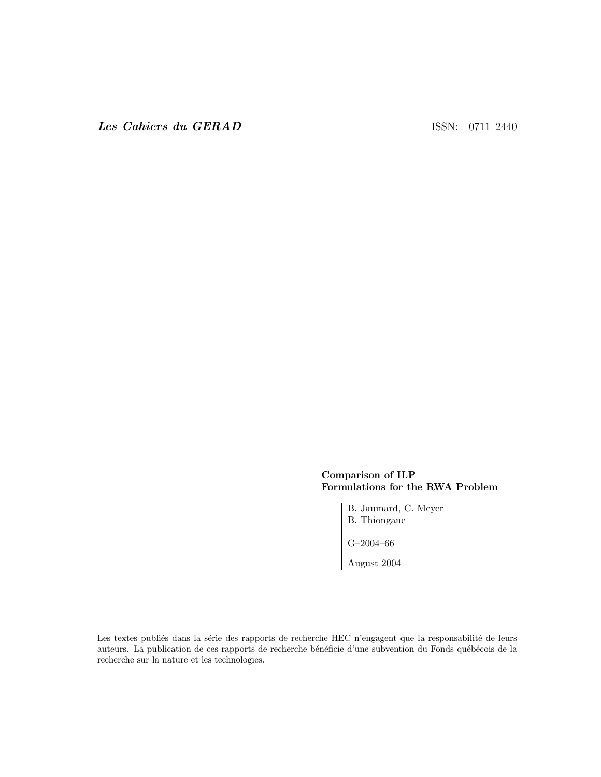Les Cahiers du GERAD ISSN: 0711–2440

#### Comparison of ILP Formulations for the RWA Problem

B. Jaumard, C. Meyer B. Thiongane

G–2004–66

August 2004

Les textes publiés dans la série des rapports de recherche HEC n'engagent que la responsabilité de leurs auteurs. La publication de ces rapports de recherche bénéficie d'une subvention du Fonds québécois de la recherche sur la nature et les technologies.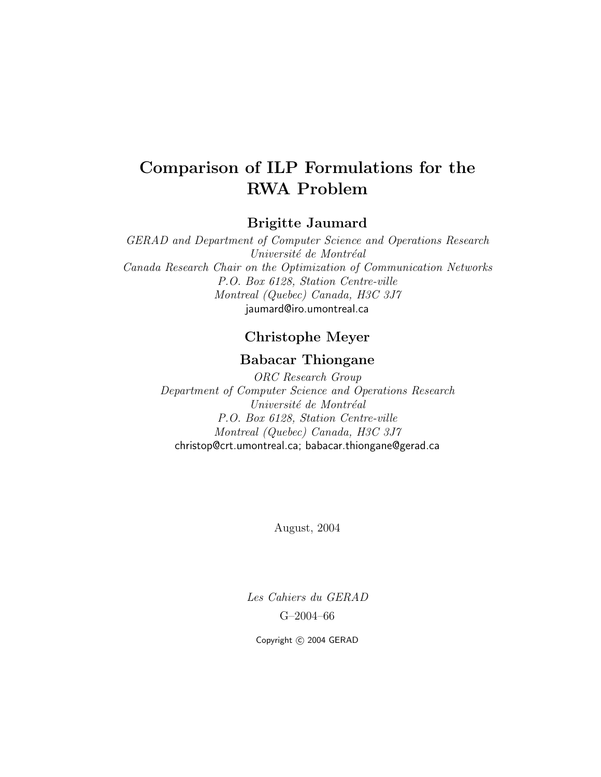# Comparison of ILP Formulations for the RWA Problem

Brigitte Jaumard

GERAD and Department of Computer Science and Operations Research Université de Montréal Canada Research Chair on the Optimization of Communication Networks P.O. Box 6128, Station Centre-ville Montreal (Quebec) Canada, H3C 3J7 jaumard@iro.umontreal.ca

# Christophe Meyer

# Babacar Thiongane

ORC Research Group Department of Computer Science and Operations Research Université de Montréal P.O. Box 6128, Station Centre-ville Montreal (Quebec) Canada, H3C 3J7 christop@crt.umontreal.ca; babacar.thiongane@gerad.ca

August, 2004

Les Cahiers du GERAD G–2004–66

Copyright © 2004 GERAD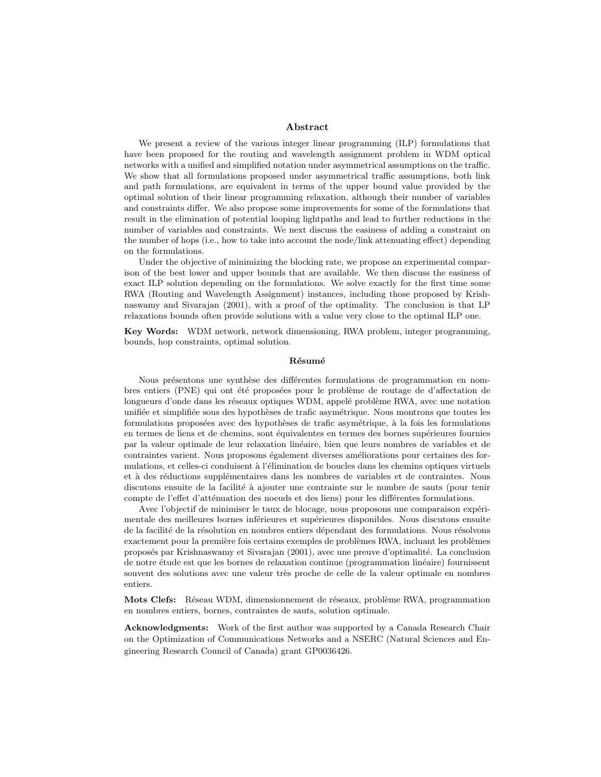#### Abstract

We present a review of the various integer linear programming (ILP) formulations that have been proposed for the routing and wavelength assignment problem in WDM optical networks with a unified and simplified notation under asymmetrical assumptions on the traffic. We show that all formulations proposed under asymmetrical traffic assumptions, both link and path formulations, are equivalent in terms of the upper bound value provided by the optimal solution of their linear programming relaxation, although their number of variables and constraints differ. We also propose some improvements for some of the formulations that result in the elimination of potential looping lightpaths and lead to further reductions in the number of variables and constraints. We next discuss the easiness of adding a constraint on the number of hops (i.e., how to take into account the node/link attenuating effect) depending on the formulations.

Under the objective of minimizing the blocking rate, we propose an experimental comparison of the best lower and upper bounds that are available. We then discuss the easiness of exact ILP solution depending on the formulations. We solve exactly for the first time some RWA (Routing and Wavelength Assignment) instances, including those proposed by Krishnaswamy and Sivarajan (2001), with a proof of the optimality. The conclusion is that LP relaxations bounds often provide solutions with a value very close to the optimal ILP one.

Key Words: WDM network, network dimensioning, RWA problem, integer programming, bounds, hop constraints, optimal solution.

#### Résumé

Nous présentons une synthèse des différentes formulations de programmation en nombres entiers (PNE) qui ont été proposées pour le problème de routage de d'affectation de longueurs d'onde dans les réseaux optiques WDM, appelé problème RWA, avec une notation unifiée et simplifiée sous des hypothèses de trafic asymétrique. Nous montrons que toutes les formulations proposées avec des hypothèses de trafic asymétrique, à la fois les formulations en termes de liens et de chemins, sont équivalentes en termes des bornes supérieures fournies par la valeur optimale de leur relaxation lin´eaire, bien que leurs nombres de variables et de contraintes varient. Nous proposons également diverses améliorations pour certaines des formulations, et celles-ci conduisent à l'élimination de boucles dans les chemins optiques virtuels et à des réductions supplémentaires dans les nombres de variables et de contraintes. Nous discutons ensuite de la facilité à ajouter une contrainte sur le nombre de sauts (pour tenir compte de l'effet d'atténuation des noeuds et des liens) pour les différentes formulations.

Avec l'objectif de minimiser le taux de blocage, nous proposons une comparaison expérimentale des meilleures bornes inférieures et supérieures disponibles. Nous discutons ensuite de la facilité de la résolution en nombres entiers dépendant des formulations. Nous résolvons exactement pour la première fois certains exemples de problèmes RWA, incluant les problèmes propos´es par Krishnaswamy et Sivarajan (2001), avec une preuve d'optimalit´e. La conclusion de notre étude est que les bornes de relaxation continue (programmation linéaire) fournissent souvent des solutions avec une valeur très proche de celle de la valeur optimale en nombres entiers.

Mots Clefs: Réseau WDM, dimensionnement de réseaux, problème RWA, programmation en nombres entiers, bornes, contraintes de sauts, solution optimale.

Acknowledgments: Work of the first author was supported by a Canada Research Chair on the Optimization of Communications Networks and a NSERC (Natural Sciences and Engineering Research Council of Canada) grant GP0036426.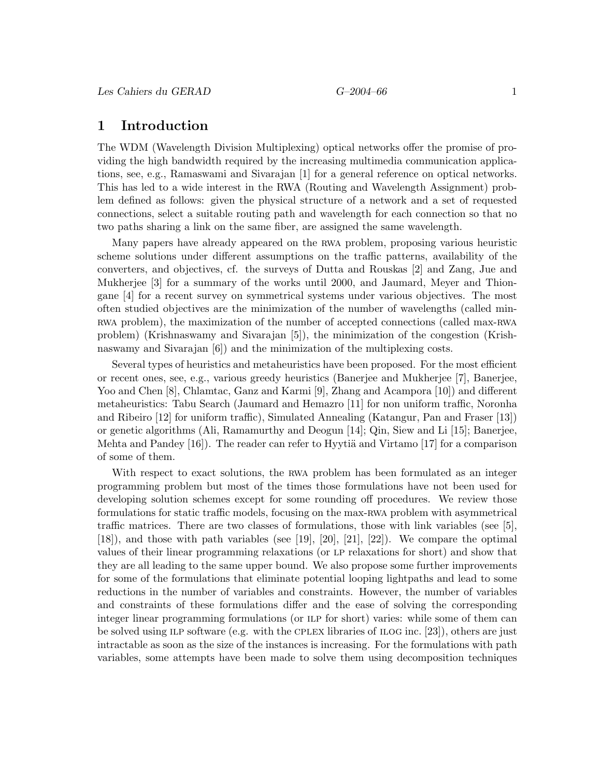## 1 Introduction

The WDM (Wavelength Division Multiplexing) optical networks offer the promise of providing the high bandwidth required by the increasing multimedia communication applications, see, e.g., Ramaswami and Sivarajan [1] for a general reference on optical networks. This has led to a wide interest in the RWA (Routing and Wavelength Assignment) problem defined as follows: given the physical structure of a network and a set of requested connections, select a suitable routing path and wavelength for each connection so that no two paths sharing a link on the same fiber, are assigned the same wavelength.

Many papers have already appeared on the rwa problem, proposing various heuristic scheme solutions under different assumptions on the traffic patterns, availability of the converters, and objectives, cf. the surveys of Dutta and Rouskas [2] and Zang, Jue and Mukherjee [3] for a summary of the works until 2000, and Jaumard, Meyer and Thiongane [4] for a recent survey on symmetrical systems under various objectives. The most often studied objectives are the minimization of the number of wavelengths (called minrwa problem), the maximization of the number of accepted connections (called max-rwa problem) (Krishnaswamy and Sivarajan [5]), the minimization of the congestion (Krishnaswamy and Sivarajan [6]) and the minimization of the multiplexing costs.

Several types of heuristics and metaheuristics have been proposed. For the most efficient or recent ones, see, e.g., various greedy heuristics (Banerjee and Mukherjee [7], Banerjee, Yoo and Chen [8], Chlamtac, Ganz and Karmi [9], Zhang and Acampora [10]) and different metaheuristics: Tabu Search (Jaumard and Hemazro [11] for non uniform traffic, Noronha and Ribeiro [12] for uniform traffic), Simulated Annealing (Katangur, Pan and Fraser [13]) or genetic algorithms (Ali, Ramamurthy and Deogun [14]; Qin, Siew and Li [15]; Banerjee, Mehta and Pandey  $[16]$ . The reader can refer to Hyytiä and Virtamo  $[17]$  for a comparison of some of them.

With respect to exact solutions, the rwa problem has been formulated as an integer programming problem but most of the times those formulations have not been used for developing solution schemes except for some rounding off procedures. We review those formulations for static traffic models, focusing on the max-rwa problem with asymmetrical traffic matrices. There are two classes of formulations, those with link variables (see [5], [18]), and those with path variables (see [19], [20], [21], [22]). We compare the optimal values of their linear programming relaxations (or lp relaxations for short) and show that they are all leading to the same upper bound. We also propose some further improvements for some of the formulations that eliminate potential looping lightpaths and lead to some reductions in the number of variables and constraints. However, the number of variables and constraints of these formulations differ and the ease of solving the corresponding integer linear programming formulations (or ILP for short) varies: while some of them can be solved using  $ILP$  software (e.g. with the CPLEX libraries of  $ILOG$  inc. [23]), others are just intractable as soon as the size of the instances is increasing. For the formulations with path variables, some attempts have been made to solve them using decomposition techniques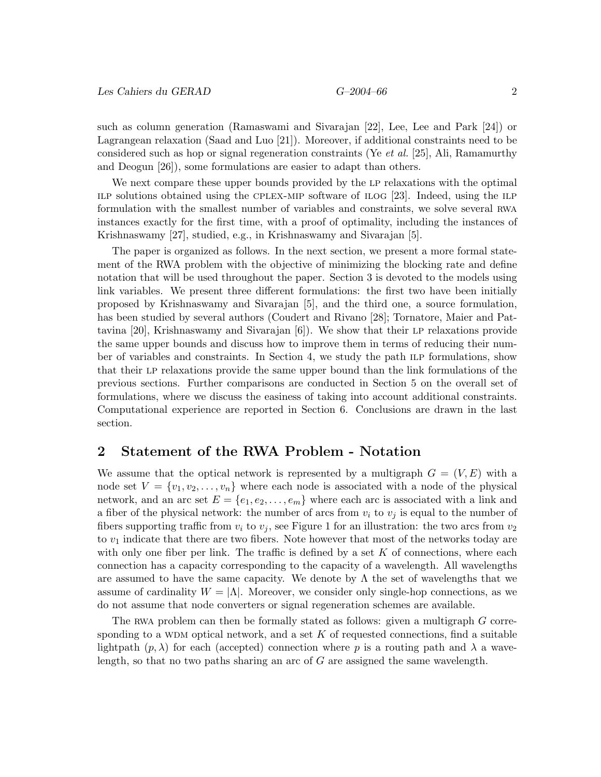such as column generation (Ramaswami and Sivarajan [22], Lee, Lee and Park [24]) or Lagrangean relaxation (Saad and Luo [21]). Moreover, if additional constraints need to be considered such as hop or signal regeneration constraints (Ye et al. [25], Ali, Ramamurthy and Deogun [26]), some formulations are easier to adapt than others.

We next compare these upper bounds provided by the LP relaxations with the optimal ilp solutions obtained using the cplex-mip software of ilog [23]. Indeed, using the ilp formulation with the smallest number of variables and constraints, we solve several rwa instances exactly for the first time, with a proof of optimality, including the instances of Krishnaswamy [27], studied, e.g., in Krishnaswamy and Sivarajan [5].

The paper is organized as follows. In the next section, we present a more formal statement of the RWA problem with the objective of minimizing the blocking rate and define notation that will be used throughout the paper. Section 3 is devoted to the models using link variables. We present three different formulations: the first two have been initially proposed by Krishnaswamy and Sivarajan [5], and the third one, a source formulation, has been studied by several authors (Coudert and Rivano [28]; Tornatore, Maier and Pattavina [20], Krishnaswamy and Sivarajan [6]). We show that their lp relaxations provide the same upper bounds and discuss how to improve them in terms of reducing their number of variables and constraints. In Section 4, we study the path ilp formulations, show that their lp relaxations provide the same upper bound than the link formulations of the previous sections. Further comparisons are conducted in Section 5 on the overall set of formulations, where we discuss the easiness of taking into account additional constraints. Computational experience are reported in Section 6. Conclusions are drawn in the last section.

#### 2 Statement of the RWA Problem - Notation

We assume that the optical network is represented by a multigraph  $G = (V, E)$  with a node set  $V = \{v_1, v_2, \ldots, v_n\}$  where each node is associated with a node of the physical network, and an arc set  $E = \{e_1, e_2, \ldots, e_m\}$  where each arc is associated with a link and a fiber of the physical network: the number of arcs from  $v_i$  to  $v_j$  is equal to the number of fibers supporting traffic from  $v_i$  to  $v_j$ , see Figure 1 for an illustration: the two arcs from  $v_2$ to  $v_1$  indicate that there are two fibers. Note however that most of the networks today are with only one fiber per link. The traffic is defined by a set  $K$  of connections, where each connection has a capacity corresponding to the capacity of a wavelength. All wavelengths are assumed to have the same capacity. We denote by  $\Lambda$  the set of wavelengths that we assume of cardinality  $W = |\Lambda|$ . Moreover, we consider only single-hop connections, as we do not assume that node converters or signal regeneration schemes are available.

The RWA problem can then be formally stated as follows: given a multigraph G corresponding to a WDM optical network, and a set  $K$  of requested connections, find a suitable lightpath  $(p, \lambda)$  for each (accepted) connection where p is a routing path and  $\lambda$  a wavelength, so that no two paths sharing an arc of G are assigned the same wavelength.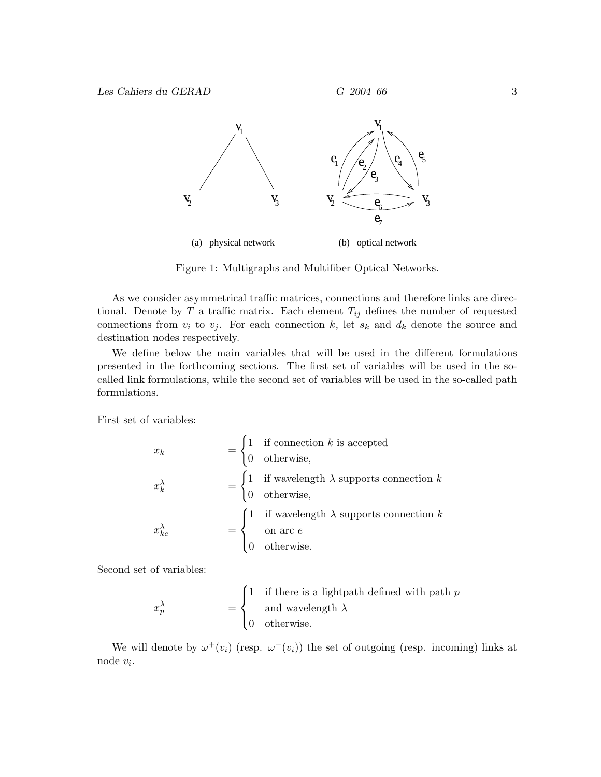

Figure 1: Multigraphs and Multifiber Optical Networks.

As we consider asymmetrical traffic matrices, connections and therefore links are directional. Denote by T a traffic matrix. Each element  $T_{ij}$  defines the number of requested connections from  $v_i$  to  $v_j$ . For each connection k, let  $s_k$  and  $d_k$  denote the source and destination nodes respectively.

We define below the main variables that will be used in the different formulations presented in the forthcoming sections. The first set of variables will be used in the socalled link formulations, while the second set of variables will be used in the so-called path formulations.

First set of variables:

$$
x_k = \begin{cases} 1 & \text{if connection } k \text{ is accepted} \\ 0 & \text{otherwise,} \end{cases}
$$

$$
x_k^{\lambda} = \begin{cases} 1 & \text{if wavelength } \lambda \text{ supports connection } k \\ 0 & \text{otherwise,} \end{cases}
$$

$$
x_{ke}^{\lambda} = \begin{cases} 1 & \text{if wavelength } \lambda \text{ supports connection } k \\ 0 & \text{are } e \\ 0 & \text{otherwise.} \end{cases}
$$

Second set of variables:

$$
x_p^{\lambda} = \begin{cases} 1 & \text{if there is a lightpath defined with path } p \\ & \text{and wavelength } \lambda \\ 0 & \text{otherwise.} \end{cases}
$$

We will denote by  $\omega^+(v_i)$  (resp.  $\omega^-(v_i)$ ) the set of outgoing (resp. incoming) links at node v<sup>i</sup> .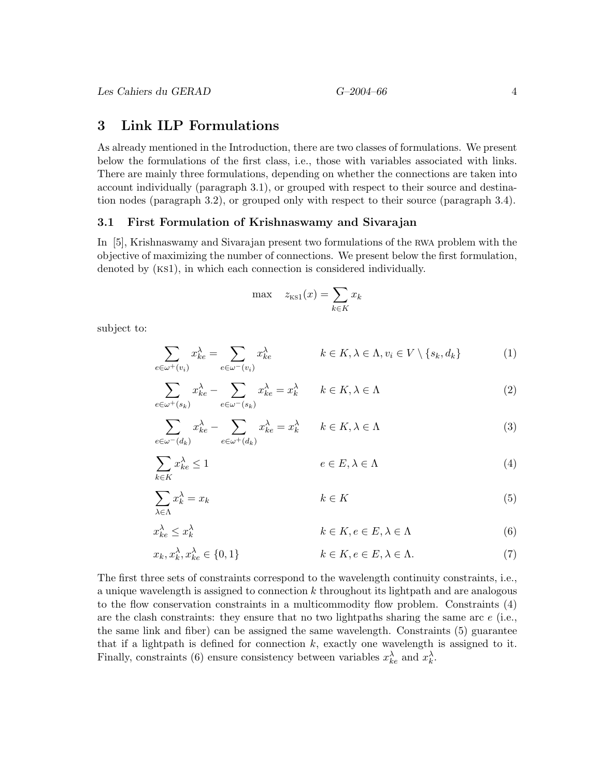$$
G\text{-}2004\text{-}66
$$

# 3 Link ILP Formulations

As already mentioned in the Introduction, there are two classes of formulations. We present below the formulations of the first class, i.e., those with variables associated with links. There are mainly three formulations, depending on whether the connections are taken into account individually (paragraph 3.1), or grouped with respect to their source and destination nodes (paragraph 3.2), or grouped only with respect to their source (paragraph 3.4).

#### 3.1 First Formulation of Krishnaswamy and Sivarajan

In [5], Krishnaswamy and Sivarajan present two formulations of the rwa problem with the objective of maximizing the number of connections. We present below the first formulation, denoted by (ks1), in which each connection is considered individually.

$$
\max \quad z_{\text{KS1}}(x) = \sum_{k \in K} x_k
$$

subject to:

$$
\sum_{e \in \omega^+(v_i)} x_{ke}^\lambda = \sum_{e \in \omega^-(v_i)} x_{ke}^\lambda \qquad k \in K, \lambda \in \Lambda, v_i \in V \setminus \{s_k, d_k\} \tag{1}
$$

$$
\sum_{e \in \omega^+(s_k)} x_{ke}^\lambda - \sum_{e \in \omega^-(s_k)} x_{ke}^\lambda = x_k^\lambda \qquad k \in K, \lambda \in \Lambda \tag{2}
$$

$$
\sum_{e \in \omega^{-}(d_k)} x_{ke}^{\lambda} - \sum_{e \in \omega^{+}(d_k)} x_{ke}^{\lambda} = x_{k}^{\lambda} \qquad k \in K, \lambda \in \Lambda
$$
\n(3)

$$
\sum_{k \in K} x_{ke}^{\lambda} \le 1 \qquad \qquad e \in E, \lambda \in \Lambda \tag{4}
$$

$$
\sum_{\lambda \in \Lambda} x_k^{\lambda} = x_k \qquad k \in K \tag{5}
$$

$$
x_{ke}^{\lambda} \le x_k^{\lambda} \qquad k \in K, e \in E, \lambda \in \Lambda \tag{6}
$$

$$
x_k, x_k^{\lambda}, x_{ke}^{\lambda} \in \{0, 1\} \qquad k \in K, e \in E, \lambda \in \Lambda. \tag{7}
$$

The first three sets of constraints correspond to the wavelength continuity constraints, i.e., a unique wavelength is assigned to connection k throughout its lightpath and are analogous to the flow conservation constraints in a multicommodity flow problem. Constraints (4) are the clash constraints: they ensure that no two lightpaths sharing the same arc  $e$  (i.e., the same link and fiber) can be assigned the same wavelength. Constraints (5) guarantee that if a lightpath is defined for connection  $k$ , exactly one wavelength is assigned to it. Finally, constraints (6) ensure consistency between variables  $x_{ke}^{\lambda}$  and  $x_{k}^{\lambda}$ .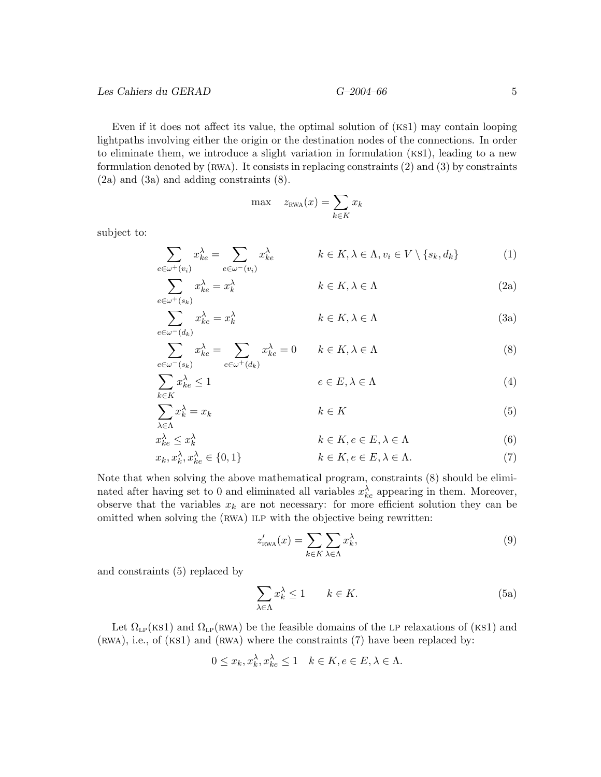Even if it does not affect its value, the optimal solution of (ks1) may contain looping lightpaths involving either the origin or the destination nodes of the connections. In order to eliminate them, we introduce a slight variation in formulation (ks1), leading to a new formulation denoted by  $(RWA)$ . It consists in replacing constraints  $(2)$  and  $(3)$  by constraints (2a) and (3a) and adding constraints (8).

$$
\max \quad z_{\text{RWA}}(x) = \sum_{k \in K} x_k
$$

subject to:

$$
\sum_{e \in \omega^+(v_i)} x_{ke}^\lambda = \sum_{e \in \omega^-(v_i)} x_{ke}^\lambda \qquad k \in K, \lambda \in \Lambda, v_i \in V \setminus \{s_k, d_k\} \tag{1}
$$

$$
\sum_{e \in \omega^+(s_k)} x_{ke}^\lambda = x_k^\lambda \qquad k \in K, \lambda \in \Lambda \tag{2a}
$$

$$
\sum_{e \in \omega^{-}(d_k)} x_{ke}^{\lambda} = x_k^{\lambda} \qquad k \in K, \lambda \in \Lambda
$$
\n(3a)

$$
\sum_{e \in \omega^-(s_k)} x_{ke}^\lambda = \sum_{e \in \omega^+(d_k)} x_{ke}^\lambda = 0 \qquad k \in K, \lambda \in \Lambda \tag{8}
$$

$$
\sum_{k \in K} x_{ke}^{\lambda} \le 1 \qquad \qquad e \in E, \lambda \in \Lambda \tag{4}
$$

$$
\sum_{\lambda \in \Lambda} x_k^{\lambda} = x_k \qquad k \in K \tag{5}
$$

$$
x_{ke}^{\lambda} \le x_k^{\lambda} \qquad \qquad k \in K, e \in E, \lambda \in \Lambda \tag{6}
$$

$$
x_k, x_k^{\lambda}, x_{ke}^{\lambda} \in \{0, 1\} \qquad k \in K, e \in E, \lambda \in \Lambda. \tag{7}
$$

Note that when solving the above mathematical program, constraints (8) should be eliminated after having set to 0 and eliminated all variables  $x_{ke}^{\lambda}$  appearing in them. Moreover, observe that the variables  $x_k$  are not necessary: for more efficient solution they can be omitted when solving the (RWA) ILP with the objective being rewritten:

$$
z'_{\text{RWA}}(x) = \sum_{k \in K} \sum_{\lambda \in \Lambda} x_k^{\lambda},\tag{9}
$$

and constraints (5) replaced by

$$
\sum_{\lambda \in \Lambda} x_k^{\lambda} \le 1 \qquad k \in K. \tag{5a}
$$

Let  $\Omega_{\text{LP}}(\text{KS1})$  and  $\Omega_{\text{LP}}(\text{RWA})$  be the feasible domains of the LP relaxations of (KS1) and  $(RWA)$ , i.e., of  $(Ks1)$  and  $(RWA)$  where the constraints (7) have been replaced by:

$$
0 \le x_k, x_k^{\lambda}, x_{ke}^{\lambda} \le 1 \quad k \in K, e \in E, \lambda \in \Lambda.
$$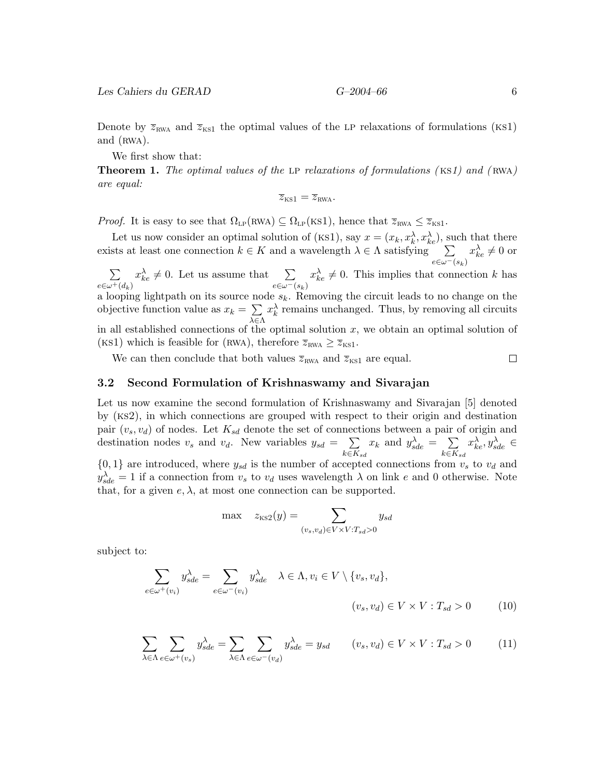Denote by  $\overline{z}_{\text{RWA}}$  and  $\overline{z}_{\text{KSI}}$  the optimal values of the LP relaxations of formulations (KS1) and  $(RWA)$ .

We first show that:

**Theorem 1.** The optimal values of the LP relaxations of formulations  $(Ks1)$  and  $(KwA)$ are equal:

$$
\overline{z}_{\text{KS1}} = \overline{z}_{\text{RWA}}.
$$

*Proof.* It is easy to see that  $\Omega_{LP}(RWA) \subseteq \Omega_{LP}(KS1)$ , hence that  $\overline{z}_{RWA} \leq \overline{z}_{KSI}$ .

Let us now consider an optimal solution of (KS1), say  $x = (x_k, x_k^{\lambda}, x_{ke}^{\lambda})$ , such that there exists at least one connection  $k \in K$  and a wavelength  $\lambda \in \Lambda$  satisfying  $\sum$  $e \in \omega^-(s_k)$  $x_{ke}^{\lambda} \neq 0$  or

 $\sum$  $e \in \omega^+(d_k)$  $x_{ke}^{\lambda} \neq 0$ . Let us assume that  $\sum_{e \in \omega^-(s_k)}$  $x_{ke}^{\lambda} \neq 0$ . This implies that connection k has a looping lightpath on its source node  $s_k$ . Removing the circuit leads to no change on the objective function value as  $x_k = \sum$ λ∈Λ  $x_k^{\lambda}$  remains unchanged. Thus, by removing all circuits in all established connections of the optimal solution  $x$ , we obtain an optimal solution of (KS1) which is feasible for (RWA), therefore  $\overline{z}_{RWA} \geq \overline{z}_{KS1}$ .

We can then conclude that both values  $\overline{z}_{\text{RWA}}$  and  $\overline{z}_{\text{KS1}}$  are equal.

#### 3.2 Second Formulation of Krishnaswamy and Sivarajan

Let us now examine the second formulation of Krishnaswamy and Sivarajan [5] denoted by (ks2), in which connections are grouped with respect to their origin and destination pair  $(v_s, v_d)$  of nodes. Let  $K_{sd}$  denote the set of connections between a pair of origin and destination nodes  $v_s$  and  $v_d$ . New variables  $y_{sd} = \sum$  $k \in K_{sd}$  $x_k$  and  $y_{sde}^{\lambda} = \sum$  $k \in K_{sd}$  $x_{ke}^{\lambda}, y_{sde}^{\lambda} \in$  $\{0,1\}$  are introduced, where  $y_{sd}$  is the number of accepted connections from  $v_s$  to  $v_d$  and  $y_{sde}^{\lambda} = 1$  if a connection from  $v_s$  to  $v_d$  uses wavelength  $\lambda$  on link e and 0 otherwise. Note that, for a given  $e, \lambda$ , at most one connection can be supported.

$$
\max \quad z_{\text{KS2}}(y) = \sum_{(v_s, v_d) \in V \times V : T_{sd} > 0} y_{sd}
$$

subject to:

$$
\sum_{e \in \omega^+(v_i)} y_{sde}^{\lambda} = \sum_{e \in \omega^-(v_i)} y_{sde}^{\lambda} \quad \lambda \in \Lambda, v_i \in V \setminus \{v_s, v_d\},
$$

$$
(v_s, v_d) \in V \times V : T_{sd} > 0 \quad (10)
$$

$$
\sum_{\lambda \in \Lambda} \sum_{e \in \omega^+(v_s)} y_{sde}^{\lambda} = \sum_{\lambda \in \Lambda} \sum_{e \in \omega^-(v_d)} y_{sde}^{\lambda} = y_{sd} \qquad (v_s, v_d) \in V \times V : T_{sd} > 0 \tag{11}
$$

口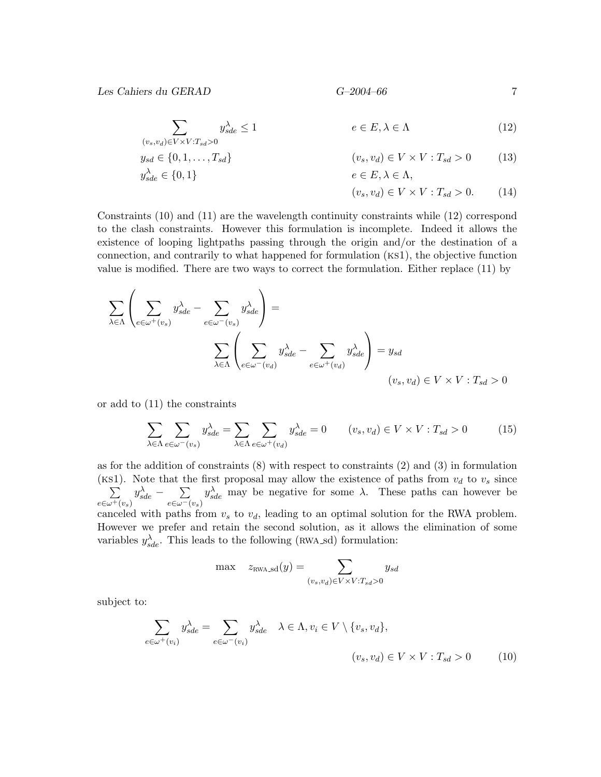$$
G\text{-}2004\text{-}66
$$

$$
\sum_{\lambda \in V_c, V, T \to 0} y_{sde}^{\lambda} \le 1 \qquad \qquad e \in E, \lambda \in \Lambda \tag{12}
$$

$$
(v_s, v_d) \in V \times V: T_{sd} > 0
$$
  
\n
$$
y_{sd} \in \{0, 1, \dots, T_{sd}\}
$$
  
\n
$$
(v_s, v_d) \in V \times V: T_{sd} > 0
$$
 (13)

$$
y_{sde}^{\lambda} \in \{0, 1\} \qquad \qquad e \in E, \lambda \in \Lambda,
$$

$$
(v_s, v_d) \in V \times V : T_{sd} > 0. \tag{14}
$$

Constraints (10) and (11) are the wavelength continuity constraints while (12) correspond to the clash constraints. However this formulation is incomplete. Indeed it allows the existence of looping lightpaths passing through the origin and/or the destination of a connection, and contrarily to what happened for formulation (ks1), the objective function value is modified. There are two ways to correct the formulation. Either replace (11) by

$$
\sum_{\lambda \in \Lambda} \left( \sum_{e \in \omega^+(v_s)} y_{sde}^{\lambda} - \sum_{e \in \omega^-(v_s)} y_{sde}^{\lambda} \right) =
$$
\n
$$
\sum_{\lambda \in \Lambda} \left( \sum_{e \in \omega^-(v_d)} y_{sde}^{\lambda} - \sum_{e \in \omega^+(v_d)} y_{sde}^{\lambda} \right) = y_{sd}
$$
\n
$$
(v_s, v_d) \in V \times V : T_{sd} > 0
$$

or add to (11) the constraints

$$
\sum_{\lambda \in \Lambda} \sum_{e \in \omega^{-}(v_s)} y_{sde}^{\lambda} = \sum_{\lambda \in \Lambda} \sum_{e \in \omega^{+}(v_d)} y_{sde}^{\lambda} = 0 \qquad (v_s, v_d) \in V \times V : T_{sd} > 0 \tag{15}
$$

as for the addition of constraints (8) with respect to constraints (2) and (3) in formulation (ks1  $\sum$ ). Note that the first proposal may allow the existence of paths from  $v_d$  to  $v_s$  since  $e \in \omega^+(v_s)$  $y_{sde}^{\lambda}$  –  $\sum$  $e \in \omega^-(v_s)$  $y_{sde}^{\lambda}$  may be negative for some  $\lambda$ . These paths can however be

canceled with paths from  $v_s$  to  $v_d$ , leading to an optimal solution for the RWA problem. However we prefer and retain the second solution, as it allows the elimination of some variables  $y_{sde}^{\lambda}$ . This leads to the following (RWA\_sd) formulation:

$$
\max \quad z_{\text{RWA\_sd}}(y) = \sum_{(v_s, v_d) \in V \times V: T_{sd} > 0} y_{sd}
$$

subject to:

$$
\sum_{e \in \omega^+(v_i)} y_{sde}^{\lambda} = \sum_{e \in \omega^-(v_i)} y_{sde}^{\lambda} \quad \lambda \in \Lambda, v_i \in V \setminus \{v_s, v_d\},
$$

$$
(v_s, v_d) \in V \times V : T_{sd} > 0 \tag{10}
$$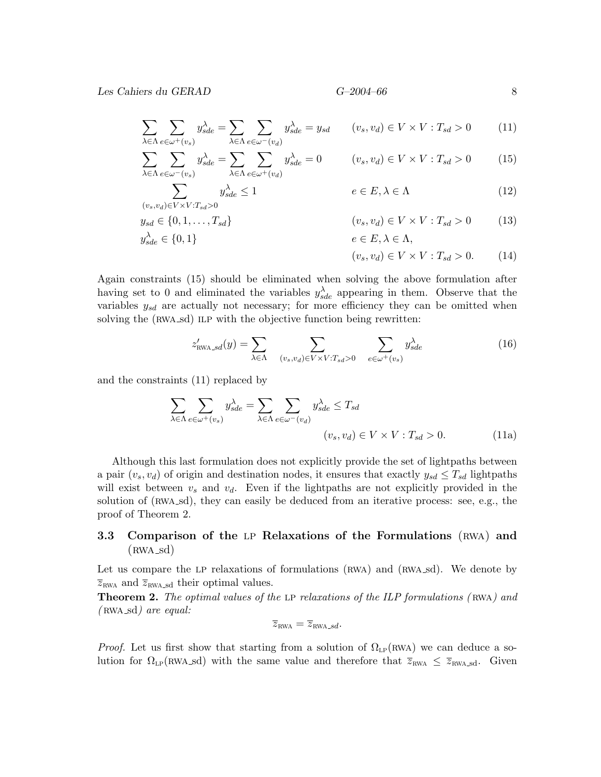$$
G - 2004 - 66
$$

$$
\sum_{\lambda \in \Lambda} \sum_{e \in \omega^+(v_s)} y_{sde}^{\lambda} = \sum_{\lambda \in \Lambda} \sum_{e \in \omega^-(v_d)} y_{sde}^{\lambda} = y_{sd} \qquad (v_s, v_d) \in V \times V : T_{sd} > 0 \tag{11}
$$

$$
\sum_{\lambda \in \Lambda} \sum_{e \in \omega^{-}(v_s)} y_{sde}^{\lambda} = \sum_{\lambda \in \Lambda} \sum_{e \in \omega^{+}(v_d)} y_{sde}^{\lambda} = 0 \qquad (v_s, v_d) \in V \times V : T_{sd} > 0 \qquad (15)
$$

$$
y_{sde}^{\lambda} \le 1 \qquad \qquad e \in E, \lambda \in \Lambda \tag{12}
$$

$$
y_{sd} \in \{0, 1, \dots, T_{sd}\}
$$
  
\n
$$
y_{sd}^{\lambda} \in \{0, 1\}
$$
  
\n
$$
y_{sd}^{\lambda} \in \{0, 1\}
$$
  
\n
$$
e \in E, \lambda \in \Lambda,
$$
  
\n
$$
(13)
$$

$$
(v_s, v_d) \in V \times V : T_{sd} > 0. \tag{14}
$$

Again constraints (15) should be eliminated when solving the above formulation after having set to 0 and eliminated the variables  $y_{sde}^{\lambda}$  appearing in them. Observe that the variables  $y_{sd}$  are actually not necessary; for more efficiency they can be omitted when solving the (RWA sd) ILP with the objective function being rewritten:

$$
z'_{\text{RWA}\_sd}(y) = \sum_{\lambda \in \Lambda} \sum_{(v_s, v_d) \in V \times V: T_{sd} > 0} \sum_{e \in \omega^+(v_s)} y_{sde}^{\lambda} \tag{16}
$$

and the constraints (11) replaced by

 $\sum$  $(v_s,v_d) \in V \times V : T_{sd} > 0$ 

$$
\sum_{\lambda \in \Lambda} \sum_{e \in \omega^+(v_s)} y_{sde}^{\lambda} = \sum_{\lambda \in \Lambda} \sum_{e \in \omega^-(v_d)} y_{sde}^{\lambda} \le T_{sd}
$$
\n
$$
(v_s, v_d) \in V \times V : T_{sd} > 0.
$$
\n(11a)

Although this last formulation does not explicitly provide the set of lightpaths between a pair  $(v_s, v_d)$  of origin and destination nodes, it ensures that exactly  $y_{sd} \leq T_{sd}$  lightpaths will exist between  $v_s$  and  $v_d$ . Even if the lightpaths are not explicitly provided in the solution of (RWA\_sd), they can easily be deduced from an iterative process: see, e.g., the proof of Theorem 2.

#### 3.3 Comparison of the LP Relaxations of the Formulations (RWA) and  $(RWA_s d)$

Let us compare the LP relaxations of formulations  $(RWA)$  and  $(RWA\_sd)$ . We denote by  $\overline{z}_{\text{RWA}}$  and  $\overline{z}_{\text{RWA}}$  at their optimal values.

**Theorem 2.** The optimal values of the LP relaxations of the ILP formulations (RWA) and  $(RWA_s d)$  are equal:

$$
\overline{z}_{\text{RWA}} = \overline{z}_{\text{RWA}\_\text{sd}}.
$$

*Proof.* Let us first show that starting from a solution of  $\Omega_{LP}(RWA)$  we can deduce a solution for  $\Omega_{LP}(RWA \text{ and } s)$  with the same value and therefore that  $\overline{z}_{RWA} \leq \overline{z}_{RWA \text{ and } s}$ . Given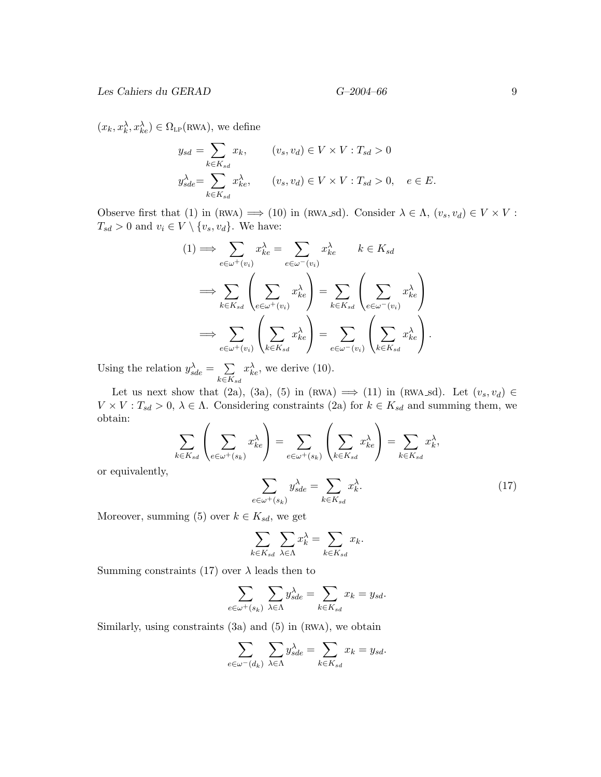$(x_k, x_k^{\lambda}, x_{ke}^{\lambda}) \in \Omega_{\text{LP}}(\text{RWA})$ , we define

$$
y_{sd} = \sum_{k \in K_{sd}} x_k, \qquad (v_s, v_d) \in V \times V : T_{sd} > 0
$$
  

$$
y_{sd}^{\lambda} = \sum_{k \in K_{sd}} x_{ke}^{\lambda}, \qquad (v_s, v_d) \in V \times V : T_{sd} > 0, \quad e \in E.
$$

Observe first that (1) in (RWA)  $\implies$  (10) in (RWA\_sd). Consider  $\lambda \in \Lambda$ ,  $(v_s, v_d) \in V \times V$ :  $T_{sd} > 0$  and  $v_i \in V \setminus \{v_s, v_d\}.$  We have:

$$
(1) \Longrightarrow \sum_{e \in \omega^{+}(v_{i})} x_{ke}^{\lambda} = \sum_{e \in \omega^{-}(v_{i})} x_{ke}^{\lambda} \qquad k \in K_{sd}
$$

$$
\Longrightarrow \sum_{k \in K_{sd}} \left( \sum_{e \in \omega^{+}(v_{i})} x_{ke}^{\lambda} \right) = \sum_{k \in K_{sd}} \left( \sum_{e \in \omega^{-}(v_{i})} x_{ke}^{\lambda} \right)
$$

$$
\Longrightarrow \sum_{e \in \omega^{+}(v_{i})} \left( \sum_{k \in K_{sd}} x_{ke}^{\lambda} \right) = \sum_{e \in \omega^{-}(v_{i})} \left( \sum_{k \in K_{sd}} x_{ke}^{\lambda} \right).
$$

Using the relation  $y_{sde}^{\lambda} = \sum_{n=1}^{\infty}$  $k \in K_{sd}$  $x_{ke}^{\lambda}$ , we derive (10).

Let us next show that (2a), (3a), (5) in (RWA)  $\implies$  (11) in (RWA\_sd). Let  $(v_s, v_d) \in$  $V \times V$ :  $T_{sd} > 0$ ,  $\lambda \in \Lambda$ . Considering constraints (2a) for  $k \in K_{sd}$  and summing them, we obtain:

$$
\sum_{k \in K_{sd}} \left( \sum_{e \in \omega^+(s_k)} x_{ke}^{\lambda} \right) = \sum_{e \in \omega^+(s_k)} \left( \sum_{k \in K_{sd}} x_{ke}^{\lambda} \right) = \sum_{k \in K_{sd}} x_{k}^{\lambda},
$$
\n
$$
\sum y_{sde}^{\lambda} = \sum x_{k}^{\lambda}.
$$
\n(17)

or equivalently,

$$
\sum_{e \in \omega^+(s_k)} y_{sde}^{\lambda} = \sum_{k \in K_{sd}} x_k^{\lambda}.
$$
 (17)

Moreover, summing (5) over  $k \in K_{sd}$ , we get

$$
\sum_{k \in K_{sd}} \sum_{\lambda \in \Lambda} x_k^{\lambda} = \sum_{k \in K_{sd}} x_k.
$$

Summing constraints (17) over  $\lambda$  leads then to

$$
\sum_{e \in \omega^+(s_k)} \sum_{\lambda \in \Lambda} y_{sde}^{\lambda} = \sum_{k \in K_{sd}} x_k = y_{sd}.
$$

Similarly, using constraints  $(3a)$  and  $(5)$  in  $(RWA)$ , we obtain

$$
\sum_{e \in \omega^{-}(d_{k})} \sum_{\lambda \in \Lambda} y_{sde}^{\lambda} = \sum_{k \in K_{sd}} x_{k} = y_{sd}.
$$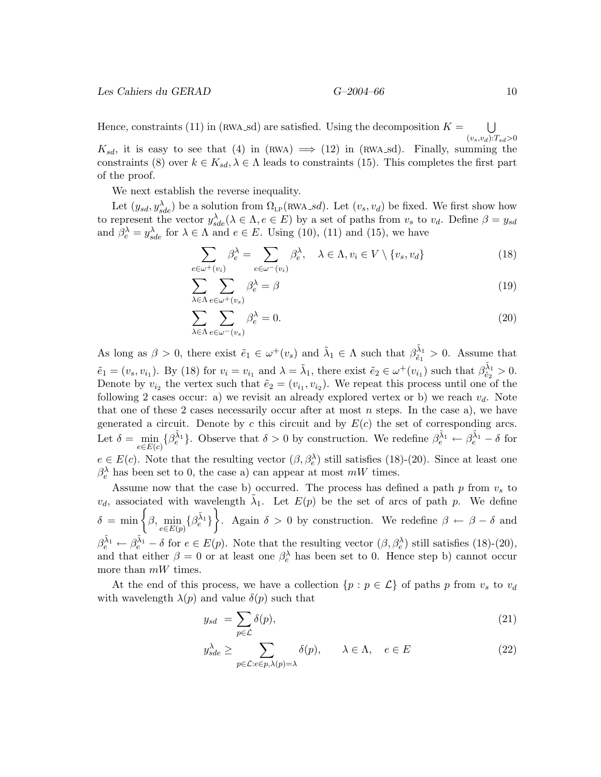$$
G\text{-}2004\text{-}66
$$

Hence, constraints (11) in (RWA\_sd) are satisfied. Using the decomposition  $K =$  $\cup$ 

 $(v_s, v_d):T_{sd}>0$  $K_{sd}$ , it is easy to see that (4) in (RWA)  $\implies$  (12) in (RWA sd). Finally, summing the constraints (8) over  $k \in K_{sd}$ ,  $\lambda \in \Lambda$  leads to constraints (15). This completes the first part of the proof.

We next establish the reverse inequality.

 $e$ 

Let  $(y_{sd}, y_{sde}^{\lambda})$  be a solution from  $\Omega_{LP}(RWA_s d)$ . Let  $(v_s, v_d)$  be fixed. We first show how to represent the vector  $y_{sde}^{\lambda}(\lambda \in \Lambda, e \in E)$  by a set of paths from  $v_s$  to  $v_d$ . Define  $\beta = y_{sd}$ and  $\beta_e^{\lambda} = y_{sde}^{\lambda}$  for  $\lambda \in \Lambda$  and  $e \in E$ . Using (10), (11) and (15), we have

$$
\sum_{\in\omega^{+}(v_{i})}\beta_{e}^{\lambda} = \sum_{e\in\omega^{-}(v_{i})}\beta_{e}^{\lambda}, \quad \lambda \in \Lambda, v_{i} \in V \setminus \{v_{s}, v_{d}\}
$$
\n(18)

$$
\sum_{\lambda \in \Lambda} \sum_{e \in \omega^+(v_s)} \beta_e^{\lambda} = \beta \tag{19}
$$

$$
\sum_{\lambda \in \Lambda} \sum_{e \in \omega^{-}(v_s)} \beta_e^{\lambda} = 0.
$$
\n(20)

As long as  $\beta > 0$ , there exist  $\tilde{e}_1 \in \omega^+(v_s)$  and  $\tilde{\lambda}_1 \in \Lambda$  such that  $\beta_{\tilde{e}_1}^{\tilde{\lambda}_1} > 0$ . Assume that  $\tilde{e}_1 = (v_s, v_{i_1})$ . By (18) for  $v_i = v_{i_1}$  and  $\lambda = \tilde{\lambda}_1$ , there exist  $\tilde{e}_2 \in \omega^+(v_{i_1})$  such that  $\beta_{\tilde{e}_2}^{\tilde{\lambda}_1} > 0$ . Denote by  $v_{i_2}$  the vertex such that  $\tilde{e}_2 = (v_{i_1}, v_{i_2})$ . We repeat this process until one of the following 2 cases occur: a) we revisit an already explored vertex or b) we reach  $v_d$ . Note that one of these 2 cases necessarily occur after at most  $n$  steps. In the case a), we have generated a circuit. Denote by c this circuit and by  $E(c)$  the set of corresponding arcs. Let  $\delta = \min_{e \in E(c)} \{\beta_e^{\tilde{\lambda}_1}\}\.$  Observe that  $\delta > 0$  by construction. We redefine  $\beta_e^{\tilde{\lambda}_1} \leftarrow \beta_e^{\tilde{\lambda}_1} - \delta$  for  $e \in E(c)$ . Note that the resulting vector  $(\beta, \beta_e^{\lambda})$  still satisfies (18)-(20). Since at least one  $\beta_e^{\lambda}$  has been set to 0, the case a) can appear at most  $mW$  times.

Assume now that the case b) occurred. The process has defined a path  $p$  from  $v<sub>s</sub>$  to  $v_d$ , associated with wavelength  $\tilde{\lambda}_1$ . Let  $E(p)$  be the set of arcs of path p. We define  $\delta = \min \left\{ \beta, \min_{e \in E(p)} \{ \beta_e^{\tilde{\lambda}_1} \} \right\}.$  Again  $\delta > 0$  by construction. We redefine  $\beta \leftarrow \beta - \delta$  and  $\beta_e^{\tilde{\lambda}_1} \leftarrow \beta_e^{\tilde{\lambda}_1} - \delta$  for  $e \in E(p)$ . Note that the resulting vector  $(\beta, \beta_e^{\lambda})$  still satisfies  $(18)-(20)$ , and that either  $\beta = 0$  or at least one  $\beta_e^{\lambda}$  has been set to 0. Hence step b) cannot occur more than  $mW$  times.

At the end of this process, we have a collection  $\{p : p \in \mathcal{L}\}\$  of paths p from  $v_s$  to  $v_d$ with wavelength  $\lambda(p)$  and value  $\delta(p)$  such that

$$
y_{sd} = \sum_{p \in \mathcal{L}} \delta(p),\tag{21}
$$

$$
y_{sde}^{\lambda} \ge \sum_{p \in \mathcal{L}: e \in p, \lambda(p) = \lambda} \delta(p), \qquad \lambda \in \Lambda, \quad e \in E
$$
 (22)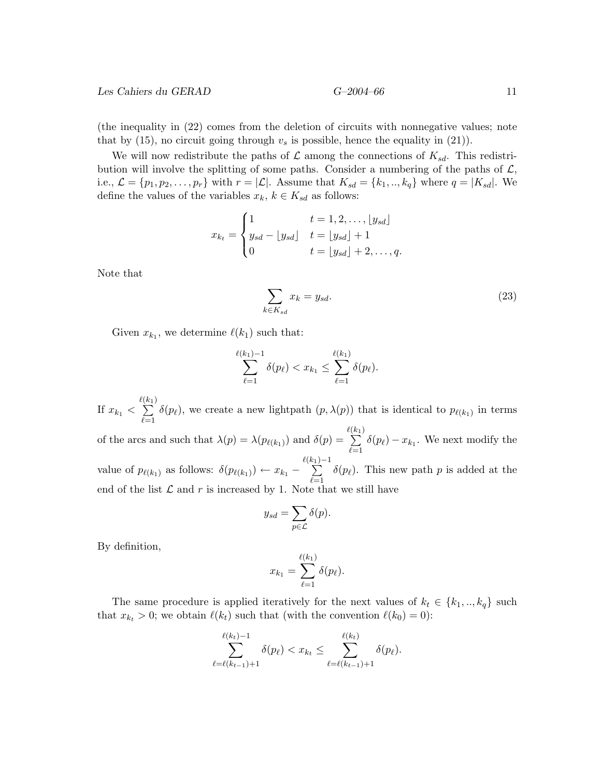$$
G\text{-}2004\text{-}66
$$

(the inequality in (22) comes from the deletion of circuits with nonnegative values; note that by (15), no circuit going through  $v_s$  is possible, hence the equality in (21)).

We will now redistribute the paths of  $\mathcal L$  among the connections of  $K_{sd}$ . This redistribution will involve the splitting of some paths. Consider a numbering of the paths of  $\mathcal{L}$ , i.e.,  $\mathcal{L} = \{p_1, p_2, \ldots, p_r\}$  with  $r = |\mathcal{L}|$ . Assume that  $K_{sd} = \{k_1, \ldots, k_q\}$  where  $q = |K_{sd}|$ . We define the values of the variables  $x_k, k \in K_{sd}$  as follows:

$$
x_{k_t} = \begin{cases} 1 & t = 1, 2, \dots, \lfloor y_{sd} \rfloor \\ y_{sd} - \lfloor y_{sd} \rfloor & t = \lfloor y_{sd} \rfloor + 1 \\ 0 & t = \lfloor y_{sd} \rfloor + 2, \dots, q. \end{cases}
$$

Note that

$$
\sum_{k \in K_{sd}} x_k = y_{sd}.\tag{23}
$$

Given  $x_{k_1}$ , we determine  $\ell(k_1)$  such that:

$$
\sum_{\ell=1}^{\ell(k_1)-1} \delta(p_{\ell}) < x_{k_1} \le \sum_{\ell=1}^{\ell(k_1)} \delta(p_{\ell}).
$$
\nIf  $x_{k_1} < \sum_{\ell=1}^{\ell(k_1)} \delta(p_{\ell})$ , we create a new lightpath  $(p, \lambda(p))$  that is identical to  $p_{\ell(k_1)}$  in terms of the arcs and such that  $\lambda(p) = \lambda(p_{\ell(k_1)})$  and  $\delta(p) = \sum_{\ell=1}^{\ell(k_1)} \delta(p_{\ell}) - x_{k_1}$ . We next modify the value of  $p_{\ell(k_1)}$  as follows:  $\delta(p_{\ell(k_1)}) \leftarrow x_{k_1} - \sum_{\ell=1}^{\ell(k_1)-1} \delta(p_{\ell})$ . This new path  $p$  is added at the end of the list  $\mathcal{L}$  and  $r$  is increased by 1. Note that we still have

$$
y_{sd} = \sum_{p \in \mathcal{L}} \delta(p).
$$

By definition,

$$
x_{k_1} = \sum_{\ell=1}^{\ell(k_1)} \delta(p_\ell).
$$

The same procedure is applied iteratively for the next values of  $k_t \in \{k_1, ..., k_q\}$  such that  $x_{k_t} > 0$ ; we obtain  $\ell(k_t)$  such that (with the convention  $\ell(k_0) = 0$ ):

$$
\sum_{\ell=\ell(k_{t-1})+1}^{\ell(k_t)-1} \delta(p_\ell) < x_{k_t} \leq \sum_{\ell=\ell(k_{t-1})+1}^{\ell(k_t)} \delta(p_\ell).
$$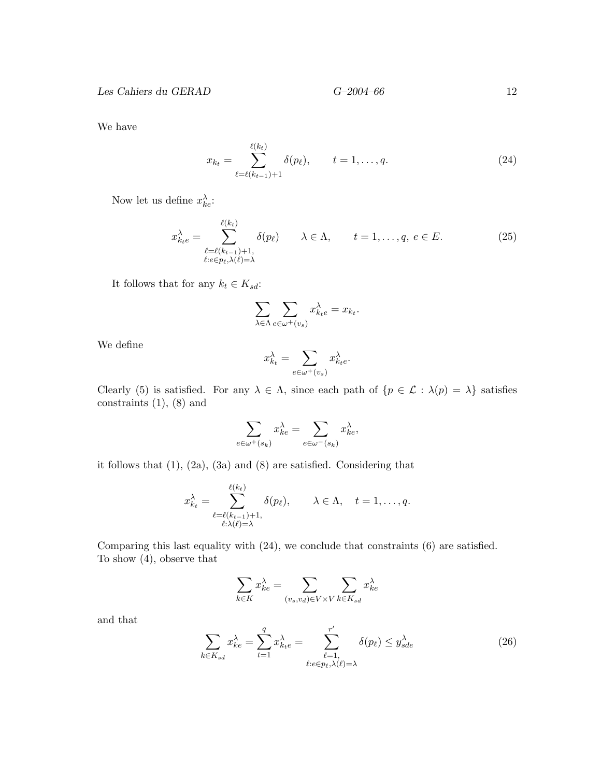We have

$$
x_{k_t} = \sum_{\ell=\ell(k_{t-1})+1}^{\ell(k_t)} \delta(p_\ell), \qquad t = 1, \dots, q. \tag{24}
$$

Now let us define  $x_{ke}^{\lambda}$ :

$$
x_{kte}^{\lambda} = \sum_{\substack{\ell = \ell(k_{t-1}) + 1, \\ \ell : e \in p_{\ell}, \lambda(\ell) = \lambda}}^{\ell(k_t)} \delta(p_{\ell}) \qquad \lambda \in \Lambda, \qquad t = 1, \dots, q, \ e \in E. \tag{25}
$$

It follows that for any  $k_t \in K_{sd}$ :

$$
\sum_{\lambda \in \Lambda} \sum_{e \in \omega^+(v_s)} x_{kte}^{\lambda} = x_{k_t}.
$$

We define

$$
x_{k_t}^{\lambda} = \sum_{e \in \omega^+(v_s)} x_{k_t e}^{\lambda}.
$$

Clearly (5) is satisfied. For any  $\lambda \in \Lambda$ , since each path of  $\{p \in \mathcal{L} : \lambda(p) = \lambda\}$  satisfies constraints (1), (8) and

$$
\sum_{e\in\omega^+(s_k)}x_{ke}^\lambda=\sum_{e\in\omega^-(s_k)}x_{ke}^\lambda,
$$

it follows that (1), (2a), (3a) and (8) are satisfied. Considering that

$$
x_{k_t}^{\lambda} = \sum_{\substack{\ell = \ell(k_{t-1}) + 1, \\ \ell : \lambda(\ell) = \lambda}}^{\ell(k_t)} \delta(p_\ell), \qquad \lambda \in \Lambda, \quad t = 1, \dots, q.
$$

Comparing this last equality with (24), we conclude that constraints (6) are satisfied. To show (4), observe that

$$
\sum_{k \in K} x_{ke}^{\lambda} = \sum_{(v_s, v_d) \in V \times V} \sum_{k \in K_{sd}} x_{ke}^{\lambda}
$$

and that

$$
\sum_{k \in K_{sd}} x_{ke}^{\lambda} = \sum_{t=1}^{q} x_{ke}^{\lambda} = \sum_{\substack{\ell=1, \\ \ell : e \in p_{\ell}, \lambda(\ell) = \lambda}}^{r'} \delta(p_{\ell}) \le y_{sde}^{\lambda}
$$
 (26)

$$
12\quad
$$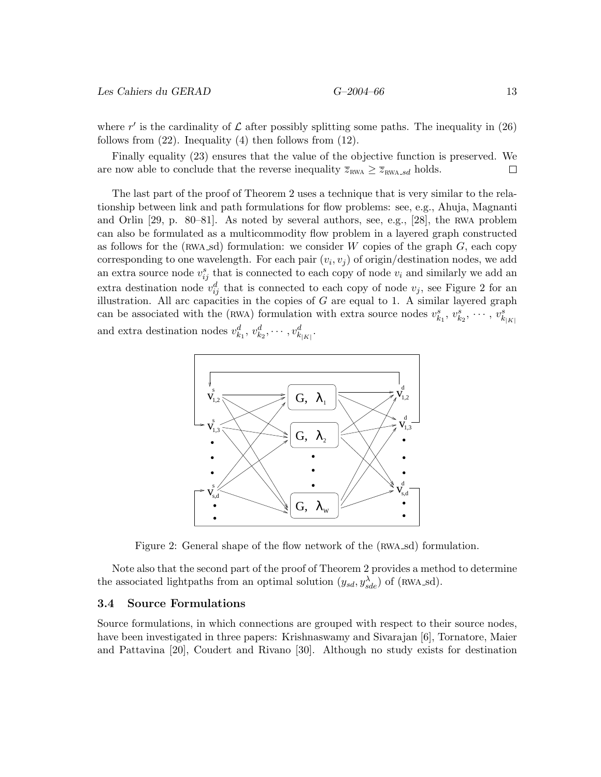where r' is the cardinality of  $\mathcal L$  after possibly splitting some paths. The inequality in (26) follows from (22). Inequality (4) then follows from (12).

Finally equality (23) ensures that the value of the objective function is preserved. We are now able to conclude that the reverse inequality  $\overline{z}_{\text{RWA}} \geq \overline{z}_{\text{RWA}}$  holds.  $\Box$ 

The last part of the proof of Theorem 2 uses a technique that is very similar to the relationship between link and path formulations for flow problems: see, e.g., Ahuja, Magnanti and Orlin [29, p. 80–81]. As noted by several authors, see, e.g., [28], the rwa problem can also be formulated as a multicommodity flow problem in a layered graph constructed as follows for the (RWA sd) formulation: we consider  $W$  copies of the graph  $G$ , each copy corresponding to one wavelength. For each pair  $(v_i, v_j)$  of origin/destination nodes, we add an extra source node  $v_{ij}^s$  that is connected to each copy of node  $v_i$  and similarly we add an extra destination node  $v_{ij}^d$  that is connected to each copy of node  $v_j$ , see Figure 2 for an illustration. All arc capacities in the copies of  $G$  are equal to 1. A similar layered graph can be associated with the (RWA) formulation with extra source nodes  $v_{k_1}^s, v_{k_2}^s, \dots, v_{k_{|K|}}^s$ and extra destination nodes  $v_{k_1}^d, v_{k_2}^d, \cdots, v_{k_{|K|}}^d$ .



Figure 2: General shape of the flow network of the (RWA sd) formulation.

Note also that the second part of the proof of Theorem 2 provides a method to determine the associated lightpaths from an optimal solution  $(y_{sd}, y_{sde}^{\lambda})$  of (RWA\_sd).

#### 3.4 Source Formulations

Source formulations, in which connections are grouped with respect to their source nodes, have been investigated in three papers: Krishnaswamy and Sivarajan [6], Tornatore, Maier and Pattavina [20], Coudert and Rivano [30]. Although no study exists for destination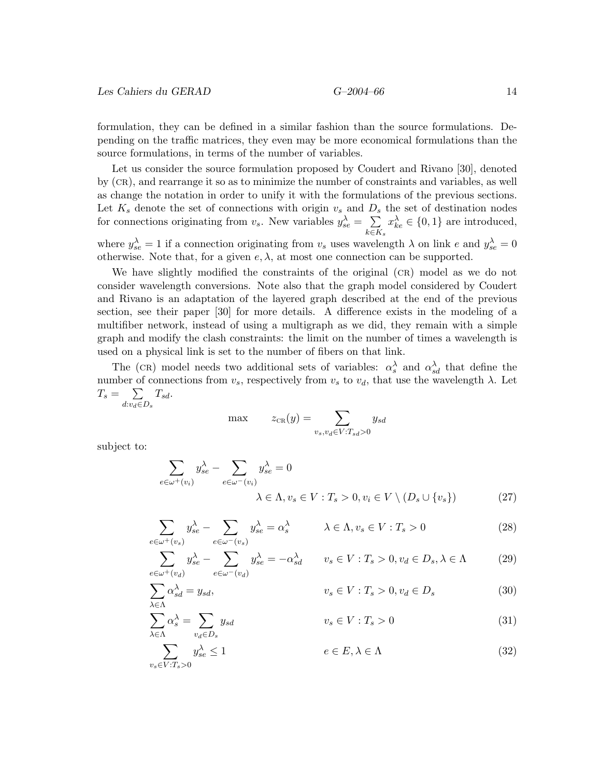formulation, they can be defined in a similar fashion than the source formulations. Depending on the traffic matrices, they even may be more economical formulations than the source formulations, in terms of the number of variables.

Let us consider the source formulation proposed by Coudert and Rivano [30], denoted by (cr), and rearrange it so as to minimize the number of constraints and variables, as well as change the notation in order to unify it with the formulations of the previous sections. Let  $K_s$  denote the set of connections with origin  $v_s$  and  $D_s$  the set of destination nodes for connections originating from  $v_s$ . New variables  $y_{se}^{\lambda} = \sum$  $k\overline{\in}K_s$  $x_{ke}^{\lambda} \in \{0, 1\}$  are introduced,

where  $y_{se}^{\lambda} = 1$  if a connection originating from  $v_s$  uses wavelength  $\lambda$  on link e and  $y_{se}^{\lambda} = 0$ otherwise. Note that, for a given  $e, \lambda$ , at most one connection can be supported.

We have slightly modified the constraints of the original  $(CR)$  model as we do not consider wavelength conversions. Note also that the graph model considered by Coudert and Rivano is an adaptation of the layered graph described at the end of the previous section, see their paper [30] for more details. A difference exists in the modeling of a multifiber network, instead of using a multigraph as we did, they remain with a simple graph and modify the clash constraints: the limit on the number of times a wavelength is used on a physical link is set to the number of fibers on that link.

The (CR) model needs two additional sets of variables:  $\alpha_s^{\lambda}$  and  $\alpha_{sd}^{\lambda}$  that define the number of connections from  $v_s$ , respectively from  $v_s$  to  $v_d$ , that use the wavelength  $\lambda$ . Let  $T_s = \quad \sum$  $d: v_d \in D_s$  $T_{sd}.$ 

$$
\max \qquad z_{CR}(y) = \sum_{v_s, v_d \in V: T_{sd} > 0} y_{sd}
$$

subject to:

$$
\sum_{e \in \omega^+(v_i)} y_{se}^{\lambda} - \sum_{e \in \omega^-(v_i)} y_{se}^{\lambda} = 0
$$
\n
$$
\lambda \in \Lambda, v_s \in V : T_s > 0, v_i \in V \setminus (D_s \cup \{v_s\})
$$
\n(27)

$$
\sum_{e \in \omega^+(v_s)} y_{se}^{\lambda} - \sum_{e \in \omega^-(v_s)} y_{se}^{\lambda} = \alpha_s^{\lambda} \qquad \lambda \in \Lambda, v_s \in V : T_s > 0
$$
\n(28)

$$
\sum_{e \in \omega^+(v_d)} y_{se}^{\lambda} - \sum_{e \in \omega^-(v_d)} y_{se}^{\lambda} = -\alpha_{sd}^{\lambda} \qquad v_s \in V : T_s > 0, v_d \in D_s, \lambda \in \Lambda \tag{29}
$$

$$
\sum_{\lambda \in \Lambda} \alpha_{sd}^{\lambda} = y_{sd}, \qquad \qquad v_s \in V : T_s > 0, v_d \in D_s \tag{30}
$$

$$
\sum_{\lambda \in \Lambda} \alpha_s^{\lambda} = \sum_{v_d \in D_s} y_{sd} \qquad \qquad v_s \in V : T_s > 0 \tag{31}
$$

$$
\sum_{v_s \in V: T_s > 0} y_{se}^{\lambda} \le 1 \qquad \qquad e \in E, \lambda \in \Lambda \tag{32}
$$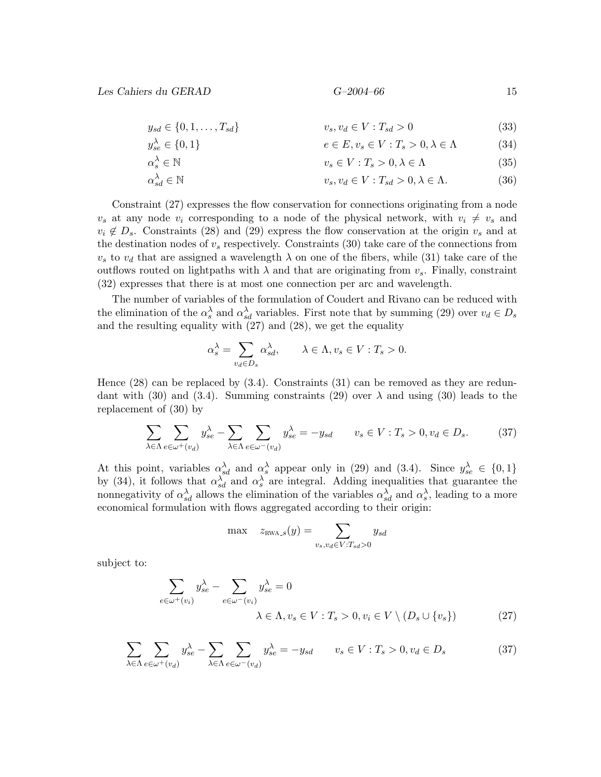$\alpha_s^{\lambda}$ 

 $\alpha_s^{\lambda}$ 

$$
G\text{-}2004\text{-}66
$$

$$
y_{sd} \in \{0, 1, \dots, T_{sd}\} \qquad \qquad v_s, v_d \in V : T_{sd} > 0 \tag{33}
$$

$$
y_{se}^{\lambda} \in \{0, 1\} \qquad \qquad e \in E, v_s \in V : T_s > 0, \lambda \in \Lambda \qquad (34)
$$

$$
\lambda_s \in \mathbb{N} \qquad \qquad v_s \in V : T_s > 0, \lambda \in \Lambda \tag{35}
$$

$$
\lambda_{sd}^{\lambda} \in \mathbb{N} \qquad \qquad v_s, v_d \in V : T_{sd} > 0, \lambda \in \Lambda. \tag{36}
$$

Constraint (27) expresses the flow conservation for connections originating from a node  $v_s$  at any node  $v_i$  corresponding to a node of the physical network, with  $v_i \neq v_s$  and  $v_i \notin D_s$ . Constraints (28) and (29) express the flow conservation at the origin  $v_s$  and at the destination nodes of  $v_s$  respectively. Constraints (30) take care of the connections from  $v_s$  to  $v_d$  that are assigned a wavelength  $\lambda$  on one of the fibers, while (31) take care of the outflows routed on lightpaths with  $\lambda$  and that are originating from  $v_s$ . Finally, constraint (32) expresses that there is at most one connection per arc and wavelength.

The number of variables of the formulation of Coudert and Rivano can be reduced with the elimination of the  $\alpha_s^{\lambda}$  and  $\alpha_{sd}^{\lambda}$  variables. First note that by summing (29) over  $v_d \in D_s$ and the resulting equality with (27) and (28), we get the equality

$$
\alpha_s^{\lambda} = \sum_{v_d \in D_s} \alpha_{sd}^{\lambda}, \qquad \lambda \in \Lambda, v_s \in V : T_s > 0.
$$

Hence (28) can be replaced by (3.4). Constraints (31) can be removed as they are redundant with (30) and (3.4). Summing constraints (29) over  $\lambda$  and using (30) leads to the replacement of (30) by

$$
\sum_{\lambda \in \Lambda} \sum_{e \in \omega^+(v_d)} y_{se}^{\lambda} - \sum_{\lambda \in \Lambda} \sum_{e \in \omega^-(v_d)} y_{se}^{\lambda} = -y_{sd} \qquad v_s \in V : T_s > 0, v_d \in D_s.
$$
 (37)

At this point, variables  $\alpha_{sd}^{\lambda}$  and  $\alpha_s^{\lambda}$  appear only in (29) and (3.4). Since  $y_{se}^{\lambda} \in \{0,1\}$ by (34), it follows that  $\alpha_{sd}^{\lambda}$  and  $\alpha_s^{\lambda}$  are integral. Adding inequalities that guarantee the nonnegativity of  $\alpha_{sd}^{\lambda}$  allows the elimination of the variables  $\alpha_{sd}^{\lambda}$  and  $\alpha_s^{\lambda}$ , leading to a more economical formulation with flows aggregated according to their origin:

$$
\max \quad z_{\text{RWA}\_s}(y) = \sum_{v_s, v_d \in V: T_{sd} > 0} y_{sd}
$$

subject to:

$$
\sum_{e \in \omega^+(v_i)} y_{se}^{\lambda} - \sum_{e \in \omega^-(v_i)} y_{se}^{\lambda} = 0
$$
  

$$
\lambda \in \Lambda, v_s \in V : T_s > 0, v_i \in V \setminus (D_s \cup \{v_s\})
$$
 (27)

$$
\sum_{\lambda \in \Lambda} \sum_{e \in \omega^+(v_d)} y_{se}^{\lambda} - \sum_{\lambda \in \Lambda} \sum_{e \in \omega^-(v_d)} y_{se}^{\lambda} = -y_{sd} \qquad v_s \in V : T_s > 0, v_d \in D_s \tag{37}
$$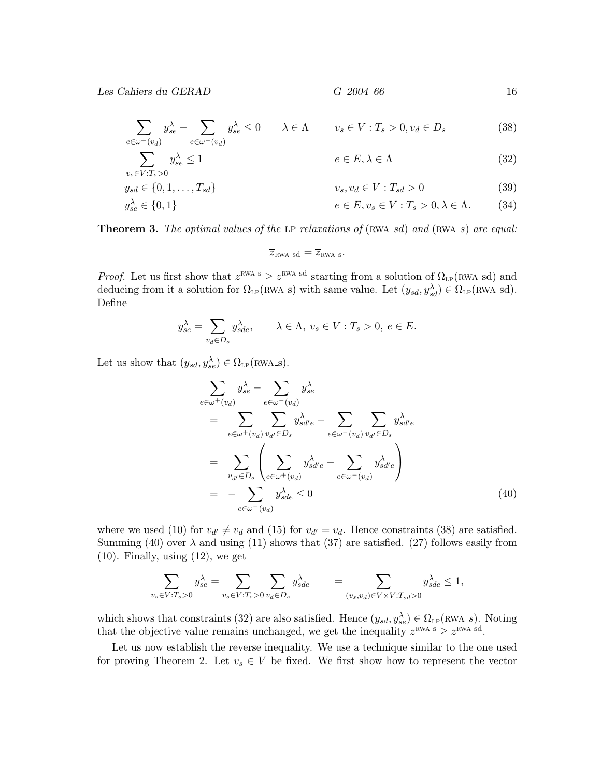Les Cahiers du GERAD  $G=2004-66$  16

$$
G\text{-}2004\text{-}66
$$

$$
\sum_{e \in \omega^+(v_d)} y_{se}^{\lambda} - \sum_{e \in \omega^-(v_d)} y_{se}^{\lambda} \le 0 \qquad \lambda \in \Lambda \qquad v_s \in V : T_s > 0, v_d \in D_s \tag{38}
$$

$$
\sum_{v_s \in V: T_s > 0} y_{se}^{\lambda} \le 1 \qquad \qquad e \in E, \lambda \in \Lambda \tag{32}
$$

$$
y_{sd} \in \{0, 1, \dots, T_{sd}\} \qquad \qquad v_s, v_d \in V : T_{sd} > 0 \tag{39}
$$

$$
y_{se}^{\lambda} \in \{0, 1\} \qquad \qquad e \in E, v_s \in V : T_s > 0, \lambda \in \Lambda. \tag{34}
$$

**Theorem 3.** The optimal values of the LP relaxations of  $(RWA_s)$  and  $(RWA_s)$  are equal:

$$
\overline{z}_{\text{RWA\_sd}} = \overline{z}_{\text{RWA\_s}}.
$$

*Proof.* Let us first show that  $\overline{z}^{RWA,S} \geq \overline{z}^{RWA,Sd}$  starting from a solution of  $\Omega_{LP}(RWA-Sd)$  and deducing from it a solution for  $\Omega_{LP}(RWA_S)$  with same value. Let  $(y_{sd}, y_{sd}^{\lambda}) \in \Omega_{LP}(RWA_Sd)$ . Define

$$
y_{se}^{\lambda} = \sum_{v_d \in D_s} y_{sde}^{\lambda}, \qquad \lambda \in \Lambda, \ v_s \in V : T_s > 0, \ e \in E.
$$

Let us show that  $(y_{sd}, y_{se}^{\lambda}) \in \Omega_{LP}(RWA\_s)$ .

$$
\sum_{e \in \omega^{+}(v_{d})} y_{se}^{\lambda} - \sum_{e \in \omega^{-}(v_{d})} y_{se}^{\lambda}
$$
\n
$$
= \sum_{e \in \omega^{+}(v_{d})} \sum_{v_{d'} \in D_{s}} y_{sd'e}^{\lambda} - \sum_{e \in \omega^{-}(v_{d})} \sum_{v_{d'} \in D_{s}} y_{sd'e}^{\lambda}
$$
\n
$$
= \sum_{v_{d'} \in D_{s}} \left( \sum_{e \in \omega^{+}(v_{d})} y_{sd'e}^{\lambda} - \sum_{e \in \omega^{-}(v_{d})} y_{sd'e}^{\lambda} \right)
$$
\n
$$
= - \sum_{e \in \omega^{-}(v_{d})} y_{sde}^{\lambda} \leq 0 \qquad (40)
$$

where we used (10) for  $v_{d'} \neq v_d$  and (15) for  $v_{d'} = v_d$ . Hence constraints (38) are satisfied. Summing (40) over  $\lambda$  and using (11) shows that (37) are satisfied. (27) follows easily from  $(10)$ . Finally, using  $(12)$ , we get

$$
\sum_{v_s \in V: T_s > 0} y_{se}^{\lambda} = \sum_{v_s \in V: T_s > 0} \sum_{v_d \in D_s} y_{sde}^{\lambda} = \sum_{(v_s, v_d) \in V \times V: T_{sd} > 0} y_{sde}^{\lambda} \le 1,
$$

which shows that constraints (32) are also satisfied. Hence  $(y_{sd}, y_{se}^{\lambda}) \in \Omega_{LP}(RWA_s)$ . Noting that the objective value remains unchanged, we get the inequality  $\overline{z}^{\text{RWA}} \geq \overline{z}^{\text{RWA}}$  and.

Let us now establish the reverse inequality. We use a technique similar to the one used for proving Theorem 2. Let  $v_s \in V$  be fixed. We first show how to represent the vector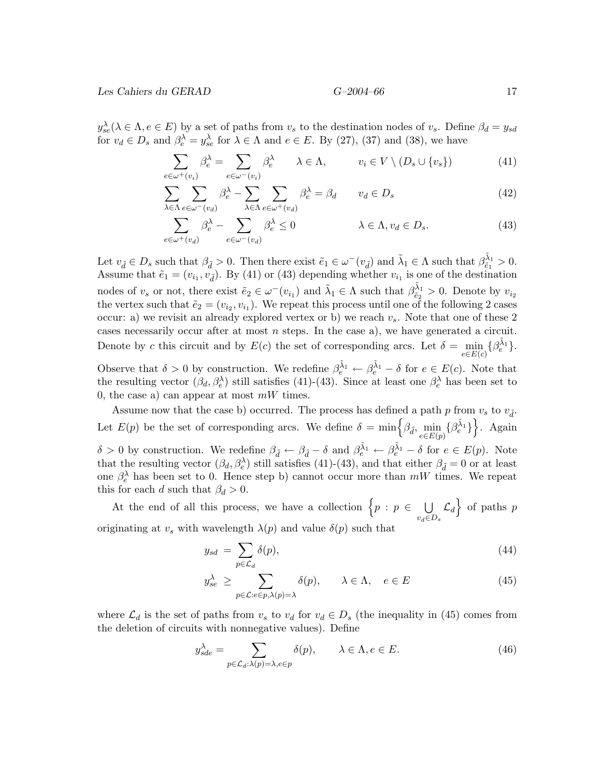$$
G\!\!-\!\!2004\!\!-\!\!66
$$

 $y_{se}^{\lambda}(\lambda \in \Lambda, e \in E)$  by a set of paths from  $v_s$  to the destination nodes of  $v_s$ . Define  $\beta_d = y_{sd}$ for  $v_d \in D_s$  and  $\beta_e^{\lambda} = y_{se}^{\lambda}$  for  $\lambda \in \Lambda$  and  $e \in E$ . By (27), (37) and (38), we have

$$
\sum_{e \in \omega^+(v_i)} \beta_e^{\lambda} = \sum_{e \in \omega^-(v_i)} \beta_e^{\lambda} \qquad \lambda \in \Lambda, \qquad v_i \in V \setminus (D_s \cup \{v_s\}) \tag{41}
$$

$$
\sum_{\lambda \in \Lambda} \sum_{e \in \omega^{-}(v_d)} \beta_e^{\lambda} - \sum_{\lambda \in \Lambda} \sum_{e \in \omega^{+}(v_d)} \beta_e^{\lambda} = \beta_d \qquad v_d \in D_s \tag{42}
$$

$$
\sum_{e \in \omega^+(v_d)} \beta_e^{\lambda} - \sum_{e \in \omega^-(v_d)} \beta_e^{\lambda} \le 0 \qquad \lambda \in \Lambda, v_d \in D_s.
$$
 (43)

Let  $v_{\tilde{d}} \in D_s$  such that  $\beta_{\tilde{d}} > 0$ . Then there exist  $\tilde{e}_1 \in \omega^-(v_{\tilde{d}})$  and  $\tilde{\lambda}_1 \in \Lambda$  such that  $\beta_{\tilde{e}_1}^{\tilde{\lambda}_1} > 0$ . Assume that  $\tilde{e}_1 = (v_{i_1}, v_{\tilde{d}})$ . By (41) or (43) depending whether  $v_{i_1}$  is one of the destination nodes of  $v_s$  or not, there exist  $\tilde{e}_2 \in \omega^-(v_{i_1})$  and  $\tilde{\lambda}_1 \in \Lambda$  such that  $\beta_{\tilde{e}_2}^{\tilde{\lambda}_1} > 0$ . Denote by  $v_{i_2}$ the vertex such that  $\tilde{e}_2 = (v_{i_2}, v_{i_1})$ . We repeat this process until one of the following 2 cases occur: a) we revisit an already explored vertex or b) we reach  $v_s$ . Note that one of these 2 cases necessarily occur after at most  $n$  steps. In the case a), we have generated a circuit. Denote by c this circuit and by  $E(c)$  the set of corresponding arcs. Let  $\delta = \min_{e \in E(c)} \{\beta_e^{\tilde{\lambda}_1}\}.$ 

Observe that  $\delta > 0$  by construction. We redefine  $\beta_e^{\tilde{\lambda}_1} \leftarrow \beta_e^{\tilde{\lambda}_1} - \delta$  for  $e \in E(c)$ . Note that the resulting vector  $(\beta_d, \beta_e^{\lambda})$  still satisfies (41)-(43). Since at least one  $\beta_e^{\lambda}$  has been set to 0, the case a) can appear at most  $mW$  times.

Assume now that the case b) occurred. The process has defined a path p from  $v_s$  to  $v_{\overline{j}}$ . Let  $E(p)$  be the set of corresponding arcs. We define  $\delta = \min \Big\{ \beta_{\tilde{d}}, \min_{e \in E(p)} \{ \beta_e^{\tilde{\lambda}_1} \} \Big\}$ . Again  $\delta > 0$  by construction. We redefine  $\beta_{\tilde{d}} \leftarrow \beta_{\tilde{d}} - \delta$  and  $\beta_{e}^{\tilde{\lambda}_{1}} \leftarrow \beta_{e}^{\tilde{\lambda}_{1}} - \delta$  for  $e \in E(p)$ . Note that the resulting vector  $(\beta_d, \beta_e^{\lambda})$  still satisfies (41)-(43), and that either  $\beta_{\tilde{d}} = 0$  or at least one  $\beta_e^{\lambda}$  has been set to 0. Hence step b) cannot occur more than  $mW$  times. We repeat this for each d such that  $\beta_d > 0$ .

At the end of all this process, we have a collection  $\{p : p \in \bigcup \}$  $v_d \in D_s$  $\mathcal{L}_d$  of paths p originating at  $v_s$  with wavelength  $\lambda(p)$  and value  $\delta(p)$  such that

$$
y_{sd} = \sum_{p \in \mathcal{L}_d} \delta(p),\tag{44}
$$

$$
y_{se}^{\lambda} \ge \sum_{p \in \mathcal{L}: e \in p, \lambda(p) = \lambda} \delta(p), \qquad \lambda \in \Lambda, \quad e \in E
$$
 (45)

where  $\mathcal{L}_d$  is the set of paths from  $v_s$  to  $v_d$  for  $v_d \in D_s$  (the inequality in (45) comes from the deletion of circuits with nonnegative values). Define

$$
y_{sde}^{\lambda} = \sum_{p \in \mathcal{L}_d : \lambda(p) = \lambda, e \in p} \delta(p), \qquad \lambda \in \Lambda, e \in E.
$$
 (46)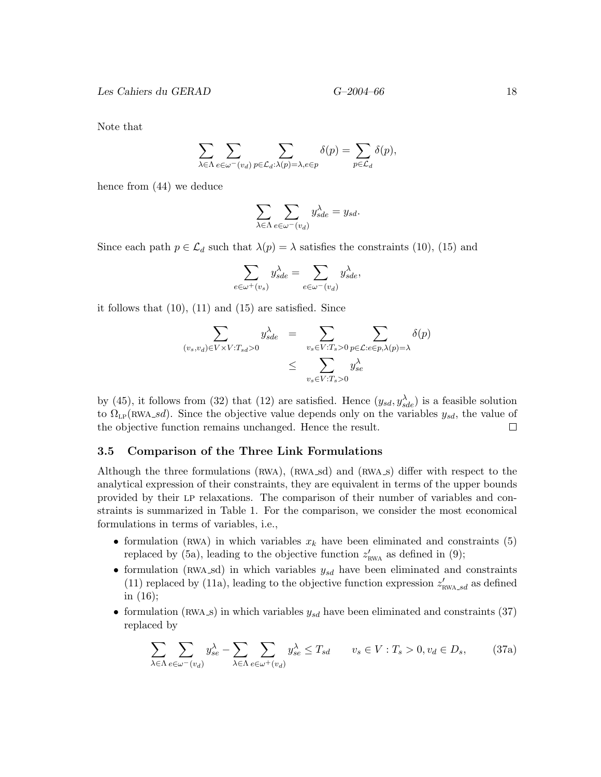Note that

$$
\sum_{\lambda\in\Lambda}\sum_{e\in\omega^-(v_d)}\sum_{p\in\mathcal{L}_d:\lambda(p)=\lambda, e\in p}\delta(p)=\sum_{p\in\mathcal{L}_d}\delta(p),
$$

hence from (44) we deduce

$$
\sum_{\lambda\in\Lambda}\sum_{e\in\omega^-(v_d)}y_{sde}^\lambda=y_{sd}.
$$

Since each path  $p \in \mathcal{L}_d$  such that  $\lambda(p) = \lambda$  satisfies the constraints (10), (15) and

$$
\sum_{e \in \omega^+(v_s)} y_{sde}^{\lambda} = \sum_{e \in \omega^-(v_d)} y_{sde}^{\lambda},
$$

it follows that (10), (11) and (15) are satisfied. Since

$$
\sum_{(v_s, v_d) \in V \times V: T_{sd} > 0} y_{sde}^{\lambda} = \sum_{v_s \in V: T_s > 0} \sum_{p \in \mathcal{L}: e \in p, \lambda(p) = \lambda} \delta(p)
$$
  

$$
\leq \sum_{v_s \in V: T_s > 0} y_{se}^{\lambda}
$$

by (45), it follows from (32) that (12) are satisfied. Hence  $(y_{sd}, y_{sde}^{\lambda})$  is a feasible solution to  $\Omega_{LP}(RWA\_sd)$ . Since the objective value depends only on the variables  $y_{sd}$ , the value of the objective function remains unchanged. Hence the result.  $\Box$ 

#### 3.5 Comparison of the Three Link Formulations

Although the three formulations (RWA), (RWA sd) and (RWA s) differ with respect to the analytical expression of their constraints, they are equivalent in terms of the upper bounds provided by their lp relaxations. The comparison of their number of variables and constraints is summarized in Table 1. For the comparison, we consider the most economical formulations in terms of variables, i.e.,

- formulation (RWA) in which variables  $x_k$  have been eliminated and constraints (5) replaced by (5a), leading to the objective function  $z'_{\text{RWA}}$  as defined in (9);
- formulation (RWA\_sd) in which variables  $y_{sd}$  have been eliminated and constraints (11) replaced by (11a), leading to the objective function expression  $z'_{\text{RWA}}$  as defined in (16);
- formulation (RWA\_s) in which variables  $y_{sd}$  have been eliminated and constraints (37) replaced by

$$
\sum_{\lambda \in \Lambda} \sum_{e \in \omega^{-}(v_d)} y_{se}^{\lambda} - \sum_{\lambda \in \Lambda} \sum_{e \in \omega^{+}(v_d)} y_{se}^{\lambda} \le T_{sd} \qquad v_s \in V : T_s > 0, v_d \in D_s,
$$
 (37a)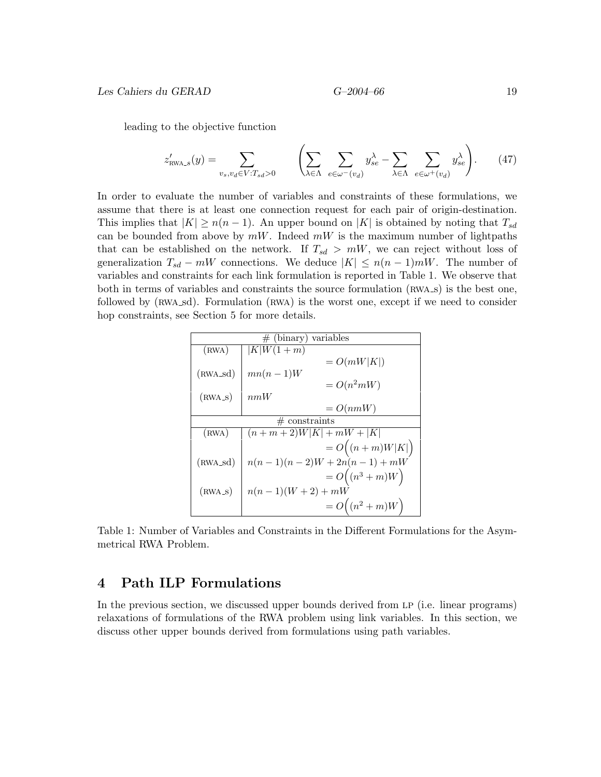leading to the objective function

$$
z'_{\text{RWA\_s}}(y) = \sum_{v_s, v_d \in V: T_{sd} > 0} \qquad \left(\sum_{\lambda \in \Lambda} \sum_{e \in \omega^{-}(v_d)} y_{se}^{\lambda} - \sum_{\lambda \in \Lambda} \sum_{e \in \omega^{+}(v_d)} y_{se}^{\lambda}\right). \tag{47}
$$

In order to evaluate the number of variables and constraints of these formulations, we assume that there is at least one connection request for each pair of origin-destination. This implies that  $|K| \geq n(n-1)$ . An upper bound on K is obtained by noting that  $T_{sd}$ can be bounded from above by  $mW$ . Indeed  $mW$  is the maximum number of lightpaths that can be established on the network. If  $T_{sd} > mW$ , we can reject without loss of generalization  $T_{sd} - mW$  connections. We deduce  $|K| \leq n(n-1)mW$ . The number of variables and constraints for each link formulation is reported in Table 1. We observe that both in terms of variables and constraints the source formulation (RWA s) is the best one, followed by (RWA\_sd). Formulation (RWA) is the worst one, except if we need to consider hop constraints, see Section 5 for more details.

| $#$ (binary) variables |                               |  |  |  |  |
|------------------------|-------------------------------|--|--|--|--|
| (RWA)                  | $ K W(1+m)$                   |  |  |  |  |
|                        | $= O(mW K )$                  |  |  |  |  |
| $(RWA_s d)$            | $mn(n-1)W$                    |  |  |  |  |
|                        | $= O(n^2mW)$                  |  |  |  |  |
| $(RWA_S)$              | nmW                           |  |  |  |  |
|                        | $= O(nmW)$                    |  |  |  |  |
|                        | $\#$ constraints              |  |  |  |  |
| (RWA)                  | $(n+m+2)W K  + mW +  K $      |  |  |  |  |
|                        | $=O((n+m)W K )$               |  |  |  |  |
| $(RWA_s d)$            | $n(n-1)(n-2)W + 2n(n-1) + mW$ |  |  |  |  |
|                        | $=O((n^3+m)W)$                |  |  |  |  |
| $(RWA_S)$              | $n(n-1)(W+2) + mW$            |  |  |  |  |
|                        | $=O((n^2+m)W)$                |  |  |  |  |

Table 1: Number of Variables and Constraints in the Different Formulations for the Asymmetrical RWA Problem.

# 4 Path ILP Formulations

In the previous section, we discussed upper bounds derived from LP (i.e. linear programs) relaxations of formulations of the RWA problem using link variables. In this section, we discuss other upper bounds derived from formulations using path variables.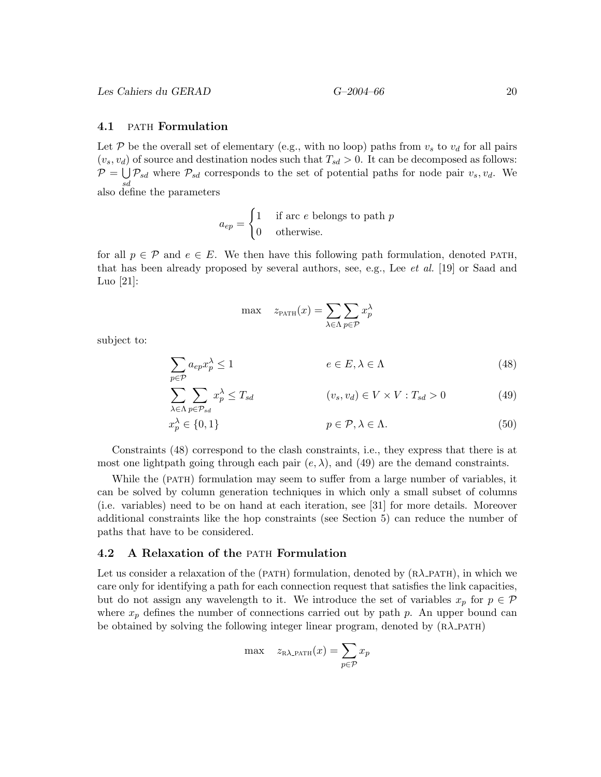#### 4.1 PATH Formulation

Let P be the overall set of elementary (e.g., with no loop) paths from  $v_s$  to  $v_d$  for all pairs  $(v_s, v_d)$  of source and destination nodes such that  $T_{sd} > 0$ . It can be decomposed as follows:  $P = \bigcup P_{sd}$  where  $P_{sd}$  corresponds to the set of potential paths for node pair  $v_s, v_d$ . We sd also define the parameters

$$
a_{ep} = \begin{cases} 1 & \text{if arc } e \text{ belongs to path } p \\ 0 & \text{otherwise.} \end{cases}
$$

for all  $p \in \mathcal{P}$  and  $e \in E$ . We then have this following path formulation, denoted PATH, that has been already proposed by several authors, see, e.g., Lee et al. [19] or Saad and Luo [21]:

$$
\max \quad z_{\text{PATH}}(x) = \sum_{\lambda \in \Lambda} \sum_{p \in \mathcal{P}} x_p^{\lambda}
$$

subject to:

$$
\sum_{p \in \mathcal{P}} a_{ep} x_p^{\lambda} \le 1 \qquad \qquad e \in E, \lambda \in \Lambda \tag{48}
$$

$$
\sum_{\lambda \in \Lambda} \sum_{p \in \mathcal{P}_{sd}} x_p^{\lambda} \le T_{sd} \qquad (v_s, v_d) \in V \times V : T_{sd} > 0 \qquad (49)
$$

$$
x_p^{\lambda} \in \{0, 1\} \qquad p \in \mathcal{P}, \lambda \in \Lambda. \tag{50}
$$

Constraints (48) correspond to the clash constraints, i.e., they express that there is at most one lightpath going through each pair  $(e, \lambda)$ , and (49) are the demand constraints.

While the (PATH) formulation may seem to suffer from a large number of variables, it can be solved by column generation techniques in which only a small subset of columns (i.e. variables) need to be on hand at each iteration, see [31] for more details. Moreover additional constraints like the hop constraints (see Section 5) can reduce the number of paths that have to be considered.

#### 4.2 A Relaxation of the PATH Formulation

Let us consider a relaxation of the (path) formulation, denoted by  $(R\lambda_PATH)$ , in which we care only for identifying a path for each connection request that satisfies the link capacities, but do not assign any wavelength to it. We introduce the set of variables  $x_p$  for  $p \in \mathcal{P}$ where  $x_p$  defines the number of connections carried out by path p. An upper bound can be obtained by solving the following integer linear program, denoted by  $(R\lambda_PATH)$ 

$$
\max \quad z_{\text{RA\_PATH}}(x) = \sum_{p \in \mathcal{P}} x_p
$$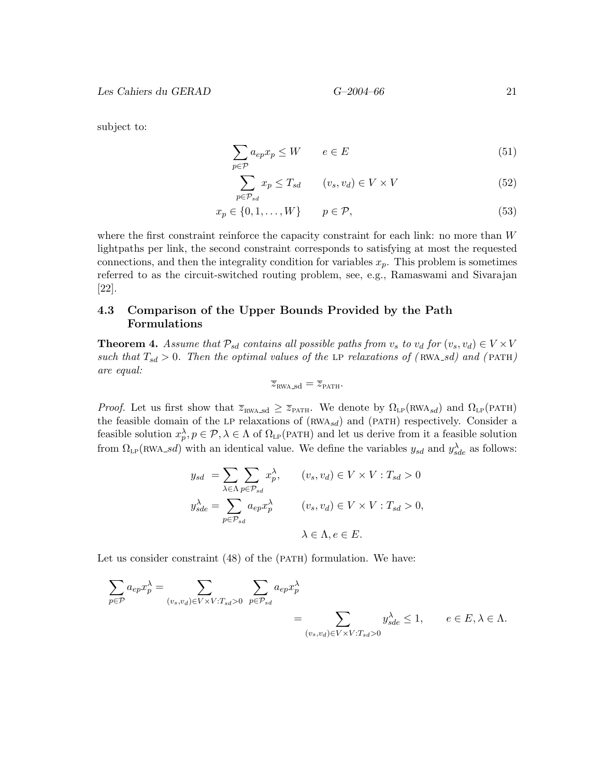subject to:

$$
\sum_{p \in \mathcal{P}} a_{ep} x_p \le W \qquad e \in E \tag{51}
$$

$$
\sum_{p \in \mathcal{P}_{sd}} x_p \le T_{sd} \qquad (v_s, v_d) \in V \times V \tag{52}
$$

$$
x_p \in \{0, 1, \dots, W\} \qquad p \in \mathcal{P},\tag{53}
$$

where the first constraint reinforce the capacity constraint for each link: no more than W lightpaths per link, the second constraint corresponds to satisfying at most the requested connections, and then the integrality condition for variables  $x_p$ . This problem is sometimes referred to as the circuit-switched routing problem, see, e.g., Ramaswami and Sivarajan [22].

#### 4.3 Comparison of the Upper Bounds Provided by the Path Formulations

**Theorem 4.** Assume that  $\mathcal{P}_{sd}$  contains all possible paths from  $v_s$  to  $v_d$  for  $(v_s, v_d) \in V \times V$ such that  $T_{sd} > 0$ . Then the optimal values of the LP relaxations of (RWA-sd) and (PATH) are equal:

$$
\overline{z}_{\text{RWA\_sd}} = \overline{z}_{\text{PATH}}.
$$

*Proof.* Let us first show that  $\overline{z}_{\text{RWA\_sd}} \geq \overline{z}_{\text{PATH}}$ . We denote by  $\Omega_{\text{LP}}(\text{RWA}_{sd})$  and  $\Omega_{\text{LP}}(\text{PATH})$ the feasible domain of the LP relaxations of  $(WMA_{sd})$  and  $(PATH)$  respectively. Consider a feasible solution  $x_p^{\lambda}, p \in \mathcal{P}, \lambda \in \Lambda$  of  $\Omega_{LP}(PATH)$  and let us derive from it a feasible solution from  $\Omega_{LP}(\text{RWA}\_sd)$  with an identical value. We define the variables  $y_{sd}$  and  $y_{sd}^{\lambda}$  as follows:

$$
y_{sd} = \sum_{\lambda \in \Lambda} \sum_{p \in \mathcal{P}_{sd}} x_p^{\lambda}, \qquad (v_s, v_d) \in V \times V : T_{sd} > 0
$$
  

$$
y_{sde}^{\lambda} = \sum_{p \in \mathcal{P}_{sd}} a_{ep} x_p^{\lambda} \qquad (v_s, v_d) \in V \times V : T_{sd} > 0,
$$

$$
\lambda \in \Lambda, e \in E.
$$

Let us consider constraint  $(48)$  of the (PATH) formulation. We have:

$$
\sum_{p \in \mathcal{P}} a_{ep} x_p^{\lambda} = \sum_{(v_s, v_d) \in V \times V: T_{sd} > 0} \sum_{p \in \mathcal{P}_{sd}} a_{ep} x_p^{\lambda}
$$
  
= 
$$
\sum_{(v_s, v_d) \in V \times V: T_{sd} > 0} y_{sde}^{\lambda} \le 1, \qquad e \in E, \lambda \in \Lambda.
$$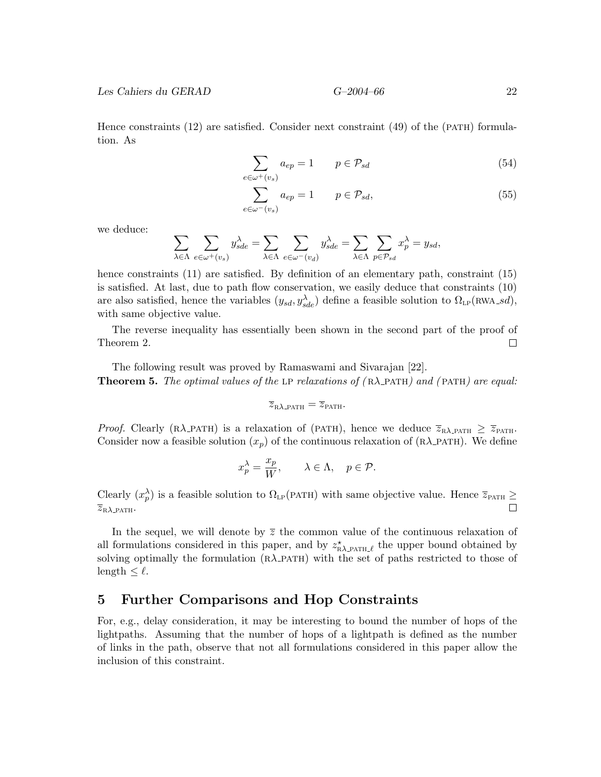Hence constraints  $(12)$  are satisfied. Consider next constraint  $(49)$  of the (PATH) formulation. As

$$
\sum_{e \in \omega^+(v_s)} a_{ep} = 1 \qquad p \in \mathcal{P}_{sd} \tag{54}
$$

$$
\sum_{e \in \omega^-(v_s)} a_{ep} = 1 \qquad p \in \mathcal{P}_{sd},\tag{55}
$$

we deduce:

$$
\sum_{\lambda \in \Lambda} \sum_{e \in \omega^+(v_s)} y_{sde}^{\lambda} = \sum_{\lambda \in \Lambda} \sum_{e \in \omega^-(v_d)} y_{sde}^{\lambda} = \sum_{\lambda \in \Lambda} \sum_{p \in \mathcal{P}_{sd}} x_p^{\lambda} = y_{sd},
$$

hence constraints (11) are satisfied. By definition of an elementary path, constraint (15) is satisfied. At last, due to path flow conservation, we easily deduce that constraints (10) are also satisfied, hence the variables  $(y_{sd}, y_{sde}^{\lambda})$  define a feasible solution to  $\Omega_{LP}(RWA_s d)$ , with same objective value.

The reverse inequality has essentially been shown in the second part of the proof of Theorem 2.  $\Box$ 

The following result was proved by Ramaswami and Sivarajan [22]. **Theorem 5.** The optimal values of the LP relaxations of  $(R\lambda_PATH)$  and  $(PATH)$  are equal:

$$
\overline{z}_{\text{RA-PATH}} = \overline{z}_{\text{PATH}}.
$$

*Proof.* Clearly (R $\lambda$ -PATH) is a relaxation of (PATH), hence we deduce  $\overline{z}_{R\lambda_{\text{PATH}}}\geq \overline{z}_{\text{PATH}}$ . Consider now a feasible solution  $(x_p)$  of the continuous relaxation of  $(R\lambda_PATH)$ . We define

$$
x_p^{\lambda} = \frac{x_p}{W}, \qquad \lambda \in \Lambda, \quad p \in \mathcal{P}.
$$

Clearly  $(x_p^{\lambda})$  is a feasible solution to  $\Omega_{LP}(PATH)$  with same objective value. Hence  $\overline{z}_{PATH} \ge$  $\overline{z}_{\text{R}}$  path.

In the sequel, we will denote by  $\overline{z}$  the common value of the continuous relaxation of all formulations considered in this paper, and by  $z_{\text{RA\_PATH}\ell}^{\star}$  the upper bound obtained by solving optimally the formulation  $(R\lambda)$ -path) with the set of paths restricted to those of length  $\leq \ell$ .

### 5 Further Comparisons and Hop Constraints

For, e.g., delay consideration, it may be interesting to bound the number of hops of the lightpaths. Assuming that the number of hops of a lightpath is defined as the number of links in the path, observe that not all formulations considered in this paper allow the inclusion of this constraint.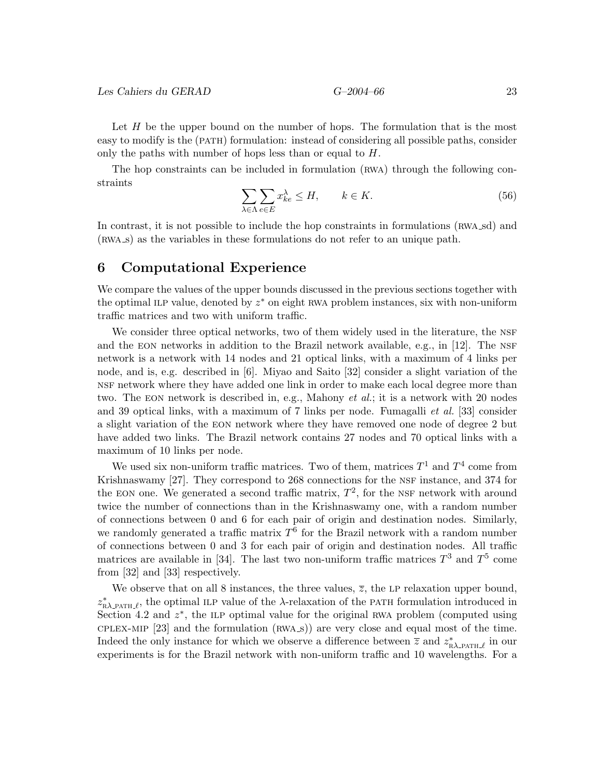Let  $H$  be the upper bound on the number of hops. The formulation that is the most easy to modify is the (path) formulation: instead of considering all possible paths, consider only the paths with number of hops less than or equal to H.

The hop constraints can be included in formulation (RWA) through the following constraints

$$
\sum_{\lambda \in \Lambda} \sum_{e \in E} x_{ke}^{\lambda} \le H, \qquad k \in K. \tag{56}
$$

In contrast, it is not possible to include the hop constraints in formulations (RWA\_sd) and (rwa s) as the variables in these formulations do not refer to an unique path.

#### 6 Computational Experience

We compare the values of the upper bounds discussed in the previous sections together with the optimal ILP value, denoted by  $z^*$  on eight RWA problem instances, six with non-uniform traffic matrices and two with uniform traffic.

We consider three optical networks, two of them widely used in the literature, the NSF and the EON networks in addition to the Brazil network available, e.g., in  $[12]$ . The NSF network is a network with 14 nodes and 21 optical links, with a maximum of 4 links per node, and is, e.g. described in [6]. Miyao and Saito [32] consider a slight variation of the nsf network where they have added one link in order to make each local degree more than two. The EON network is described in, e.g., Mahony *et al.*; it is a network with 20 nodes and 39 optical links, with a maximum of 7 links per node. Fumagalli et al. [33] consider a slight variation of the eon network where they have removed one node of degree 2 but have added two links. The Brazil network contains 27 nodes and 70 optical links with a maximum of 10 links per node.

We used six non-uniform traffic matrices. Two of them, matrices  $T^1$  and  $T^4$  come from Krishnaswamy [27]. They correspond to 268 connections for the NSF instance, and 374 for the EON one. We generated a second traffic matrix,  $T^2$ , for the NSF network with around twice the number of connections than in the Krishnaswamy one, with a random number of connections between 0 and 6 for each pair of origin and destination nodes. Similarly, we randomly generated a traffic matrix  $T^6$  for the Brazil network with a random number of connections between 0 and 3 for each pair of origin and destination nodes. All traffic matrices are available in [34]. The last two non-uniform traffic matrices  $T^3$  and  $T^5$  come from [32] and [33] respectively.

We observe that on all 8 instances, the three values,  $\overline{z}$ , the LP relaxation upper bound,  $z_{\rm _B}^*$  $_{\rm R\lambda\;PATH\;\ell}^*$ , the optimal ILP value of the  $\lambda$ -relaxation of the PATH formulation introduced in Section 4.2 and  $z^*$ , the ILP optimal value for the original RWA problem (computed using  $CPLEX-MIP$  [23] and the formulation  $(RWA_S)$  are very close and equal most of the time. Indeed the only instance for which we observe a difference between  $\overline{z}$  and  $z_n^*$  $_{\rm RA\ PATH\ \ell}^*$  in our experiments is for the Brazil network with non-uniform traffic and 10 wavelengths. For a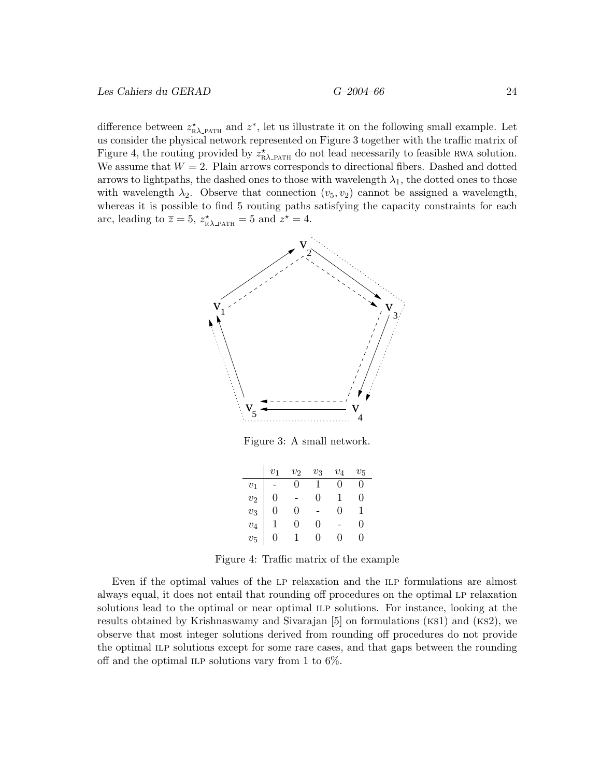$$
G\!\!-\!\!2004\!\!-\!\!66
$$

difference between  $z_{\text{RA\_PATH}}^*$  and  $z^*$ , let us illustrate it on the following small example. Let us consider the physical network represented on Figure 3 together with the traffic matrix of Figure 4, the routing provided by  $z_{\rm RA\_PATH}^{\star}$  do not lead necessarily to feasible RWA solution. We assume that  $W = 2$ . Plain arrows corresponds to directional fibers. Dashed and dotted arrows to lightpaths, the dashed ones to those with wavelength  $\lambda_1$ , the dotted ones to those with wavelength  $\lambda_2$ . Observe that connection  $(v_5, v_2)$  cannot be assigned a wavelength, whereas it is possible to find 5 routing paths satisfying the capacity constraints for each arc, leading to  $\overline{z} = 5$ ,  $z_{\text{RA-PATH}}^{\star} = 5$  and  $z^{\star} = 4$ .



Figure 3: A small network.

|                                                            |                | $v_2$ | $v_3$          | $v_4$ | $v_5$    |
|------------------------------------------------------------|----------------|-------|----------------|-------|----------|
|                                                            |                | 0     |                | 0     | 0        |
|                                                            | 0              |       | 0              |       | $\Omega$ |
|                                                            | $\overline{0}$ | 0     |                | 0     | 1        |
| $\begin{array}{c} v_1 \ v_2 \ v_3 \ v_4 \ v_5 \end{array}$ |                | 0     | 0              |       | $\Omega$ |
|                                                            | O              |       | $\blacksquare$ | 0     | 0        |

Figure 4: Traffic matrix of the example

Even if the optimal values of the LP relaxation and the ILP formulations are almost always equal, it does not entail that rounding off procedures on the optimal LP relaxation solutions lead to the optimal or near optimal ILP solutions. For instance, looking at the results obtained by Krishnaswamy and Sivarajan [5] on formulations (ks1) and (ks2), we observe that most integer solutions derived from rounding off procedures do not provide the optimal ilp solutions except for some rare cases, and that gaps between the rounding off and the optimal ILP solutions vary from 1 to  $6\%$ .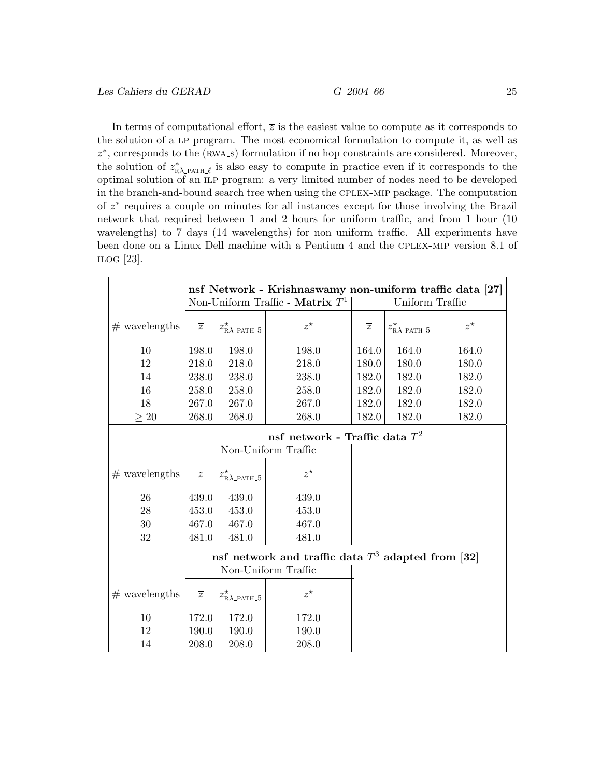In terms of computational effort,  $\overline{z}$  is the easiest value to compute as it corresponds to the solution of a LP program. The most economical formulation to compute it, as well as z ∗ , corresponds to the (rwa s) formulation if no hop constraints are considered. Moreover, the solution of  $z_{\rm R}^*$  $\sum_{R\lambda \text{ PATH}}^*$  is also easy to compute in practice even if it corresponds to the optimal solution of an ilp program: a very limited number of nodes need to be developed in the branch-and-bound search tree when using the cplex-mip package. The computation of z<sup>\*</sup> requires a couple on minutes for all instances except for those involving the Brazil network that required between 1 and 2 hours for uniform traffic, and from 1 hour (10 wavelengths) to 7 days (14 wavelengths) for non uniform traffic. All experiments have been done on a Linux Dell machine with a Pentium 4 and the cplex-mip version 8.1 of ILOG  $[23]$ .

|                                  |                                    |                                 | nsf Network - Krishnaswamy non-uniform traffic data [27] |                 |                               |             |
|----------------------------------|------------------------------------|---------------------------------|----------------------------------------------------------|-----------------|-------------------------------|-------------|
|                                  | Non-Uniform Traffic - Matrix $T^1$ |                                 |                                                          | Uniform Traffic |                               |             |
| $#$ wavelengths                  | $\overline{z}$                     | $z_{\rm RA\_{PATH\_5}}^{\star}$ | $z^{\star}$                                              | $\overline{z}$  | $z_{\rm RA\_PATH\_5}^{\star}$ | $z^{\star}$ |
| 10                               | 198.0                              | 198.0                           | 198.0                                                    | 164.0           | 164.0                         | 164.0       |
| 12                               | 218.0                              | 218.0                           | 218.0                                                    | 180.0           | 180.0                         | 180.0       |
| 14                               | 238.0                              | 238.0                           | 238.0                                                    | 182.0           | 182.0                         | 182.0       |
| 16                               | 258.0                              | 258.0                           | 258.0                                                    | 182.0           | 182.0                         | 182.0       |
| 18                               | 267.0                              | 267.0                           | 267.0                                                    | 182.0           | 182.0                         | 182.0       |
| $\geq 20$                        | 268.0                              | 268.0                           | 268.0                                                    | 182.0           | 182.0                         | 182.0       |
| nsf network - Traffic data $T^2$ |                                    |                                 |                                                          |                 |                               |             |
|                                  | Non-Uniform Traffic                |                                 |                                                          |                 |                               |             |
| $#$ wavelengths                  | $\overline{z}$                     | $z_{\text{RA-PATH }5}^{\star}$  | $z^{\star}$                                              |                 |                               |             |
| 26                               | 439.0                              | 439.0                           | 439.0                                                    |                 |                               |             |
| 28                               | 453.0                              | 453.0                           | 453.0                                                    |                 |                               |             |
| 30                               | 467.0                              | 467.0                           | 467.0                                                    |                 |                               |             |
| 32                               | 481.0                              | 481.0                           | 481.0                                                    |                 |                               |             |
|                                  |                                    |                                 | nsf network and traffic data $T^3$ adapted from [32]     |                 |                               |             |
|                                  |                                    |                                 | Non-Uniform Traffic                                      |                 |                               |             |
| $#$ wavelengths                  | $\overline{z}$                     | $z_{\rm RA\_{PATH\_5}}^{\star}$ | $z^{\star}$                                              |                 |                               |             |
| 10                               | 172.0                              | 172.0                           | 172.0                                                    |                 |                               |             |
| 12                               | 190.0                              | 190.0                           | 190.0                                                    |                 |                               |             |
| 14                               | 208.0                              | 208.0                           | 208.0                                                    |                 |                               |             |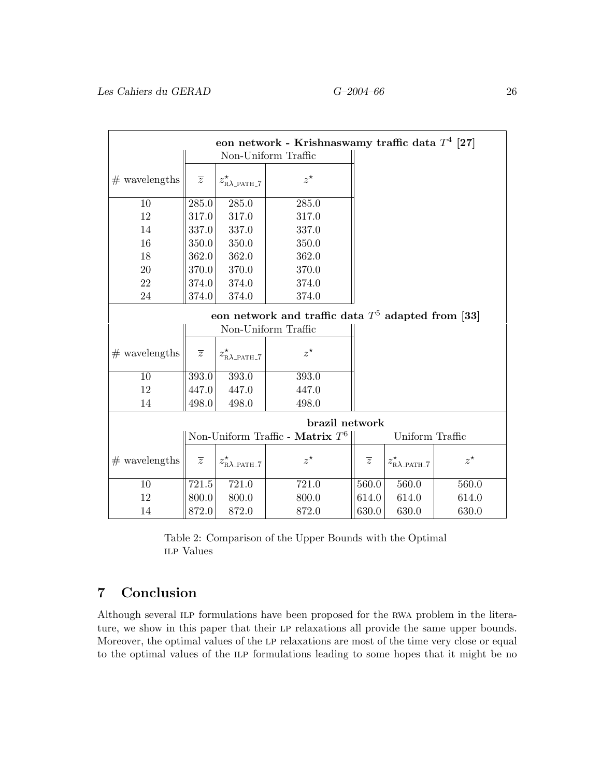| eon network - Krishnaswamy traffic data $T^4$ [27]<br>Non-Uniform Traffic |                                    |                                |                                                      |                |                                 |             |
|---------------------------------------------------------------------------|------------------------------------|--------------------------------|------------------------------------------------------|----------------|---------------------------------|-------------|
|                                                                           |                                    |                                |                                                      |                |                                 |             |
| $#$ wavelengths                                                           | $\overline{z}$                     | $z_{\rm RA\_PATH\_7}^{\star}$  | $z^{\star}$                                          |                |                                 |             |
| 10                                                                        | 285.0                              | 285.0                          | 285.0                                                |                |                                 |             |
| 12                                                                        | 317.0                              | 317.0                          | 317.0                                                |                |                                 |             |
| 14                                                                        | 337.0                              | 337.0                          | 337.0                                                |                |                                 |             |
| 16                                                                        | 350.0                              | 350.0                          | 350.0                                                |                |                                 |             |
| 18                                                                        | 362.0                              | 362.0                          | 362.0                                                |                |                                 |             |
| 20                                                                        | 370.0                              | 370.0                          | 370.0                                                |                |                                 |             |
| 22                                                                        | 374.0                              | 374.0                          | 374.0                                                |                |                                 |             |
| 24                                                                        | 374.0                              | 374.0                          | 374.0                                                |                |                                 |             |
|                                                                           |                                    |                                | eon network and traffic data $T^5$ adapted from [33] |                |                                 |             |
|                                                                           |                                    |                                | Non-Uniform Traffic                                  |                |                                 |             |
|                                                                           |                                    |                                |                                                      |                |                                 |             |
| $#$ wavelengths                                                           | $\overline{z}$                     | $z_{\text{RA-PATH-7}}^{\star}$ | $z^{\star}$                                          |                |                                 |             |
| 10                                                                        | 393.0                              | 393.0                          | 393.0                                                |                |                                 |             |
| 12                                                                        | 447.0                              | 447.0                          | 447.0                                                |                |                                 |             |
| 14                                                                        | 498.0                              | 498.0                          | 498.0                                                |                |                                 |             |
| brazil network                                                            |                                    |                                |                                                      |                |                                 |             |
|                                                                           | Non-Uniform Traffic - Matrix $T^6$ |                                |                                                      |                | Uniform Traffic                 |             |
| $#$ wavelengths                                                           | $\overline{z}$                     | $z_{\rm RA\_{PATH}$ 7          | $z^{\star}$                                          | $\overline{z}$ | $z_{\rm RA\_{PATH\_7}}^{\star}$ | $z^{\star}$ |
| 10                                                                        | 721.5                              | 721.0                          | 721.0                                                | 560.0          | 560.0                           | 560.0       |
| 12                                                                        | 800.0                              | 800.0                          | 800.0                                                | 614.0          | 614.0                           | 614.0       |
| 14                                                                        | 872.0                              | 872.0                          | 872.0                                                | 630.0          | 630.0                           | 630.0       |

Table 2: Comparison of the Upper Bounds with the Optimal ilp Values

# 7 Conclusion

Although several ILP formulations have been proposed for the RWA problem in the literature, we show in this paper that their LP relaxations all provide the same upper bounds. Moreover, the optimal values of the lp relaxations are most of the time very close or equal to the optimal values of the ILP formulations leading to some hopes that it might be no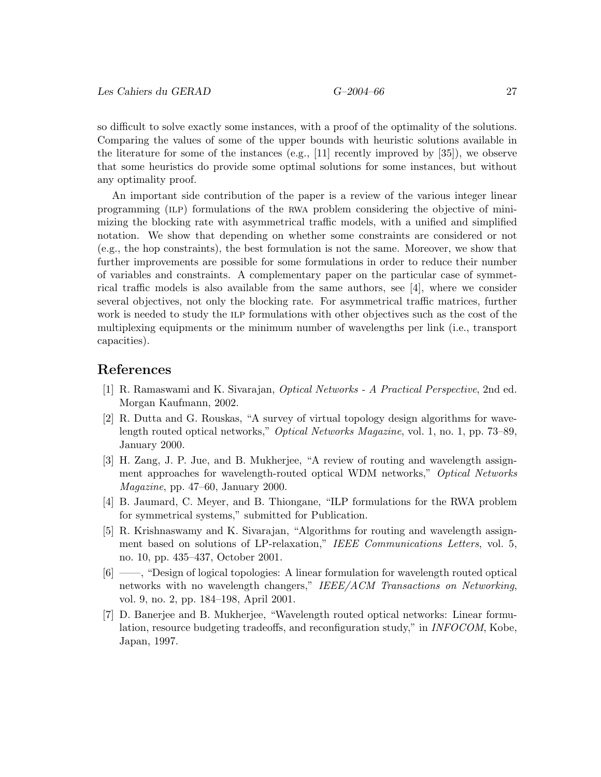so difficult to solve exactly some instances, with a proof of the optimality of the solutions. Comparing the values of some of the upper bounds with heuristic solutions available in the literature for some of the instances (e.g.,  $[11]$  recently improved by  $[35]$ ), we observe that some heuristics do provide some optimal solutions for some instances, but without any optimality proof.

An important side contribution of the paper is a review of the various integer linear programming (ilp) formulations of the rwa problem considering the objective of minimizing the blocking rate with asymmetrical traffic models, with a unified and simplified notation. We show that depending on whether some constraints are considered or not (e.g., the hop constraints), the best formulation is not the same. Moreover, we show that further improvements are possible for some formulations in order to reduce their number of variables and constraints. A complementary paper on the particular case of symmetrical traffic models is also available from the same authors, see [4], where we consider several objectives, not only the blocking rate. For asymmetrical traffic matrices, further work is needed to study the ilp formulations with other objectives such as the cost of the multiplexing equipments or the minimum number of wavelengths per link (i.e., transport capacities).

#### References

- [1] R. Ramaswami and K. Sivarajan, Optical Networks A Practical Perspective, 2nd ed. Morgan Kaufmann, 2002.
- [2] R. Dutta and G. Rouskas, "A survey of virtual topology design algorithms for wavelength routed optical networks," Optical Networks Magazine, vol. 1, no. 1, pp. 73–89, January 2000.
- [3] H. Zang, J. P. Jue, and B. Mukherjee, "A review of routing and wavelength assignment approaches for wavelength-routed optical WDM networks," Optical Networks Magazine, pp. 47–60, January 2000.
- [4] B. Jaumard, C. Meyer, and B. Thiongane, "ILP formulations for the RWA problem for symmetrical systems," submitted for Publication.
- [5] R. Krishnaswamy and K. Sivarajan, "Algorithms for routing and wavelength assignment based on solutions of LP-relaxation," IEEE Communications Letters, vol. 5, no. 10, pp. 435–437, October 2001.
- [6] ——, "Design of logical topologies: A linear formulation for wavelength routed optical networks with no wavelength changers," IEEE/ACM Transactions on Networking, vol. 9, no. 2, pp. 184–198, April 2001.
- [7] D. Banerjee and B. Mukherjee, "Wavelength routed optical networks: Linear formulation, resource budgeting tradeoffs, and reconfiguration study," in INFOCOM, Kobe, Japan, 1997.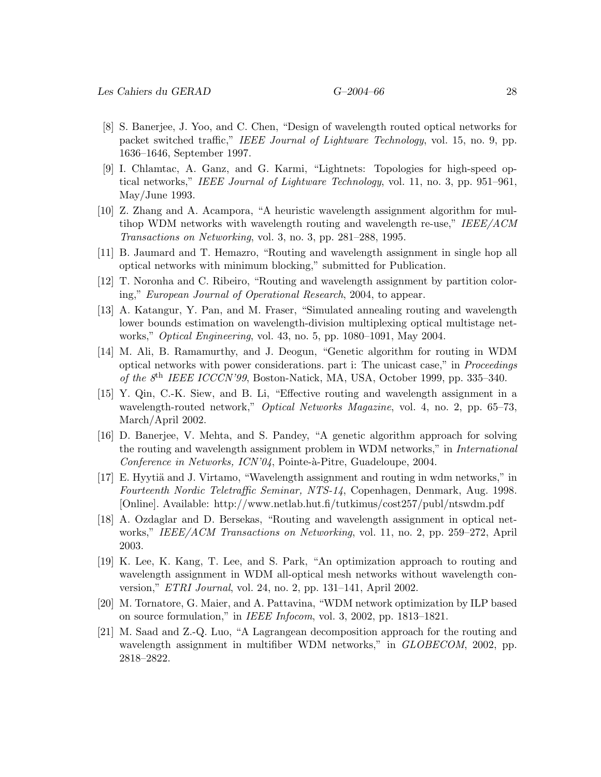- [8] S. Banerjee, J. Yoo, and C. Chen, "Design of wavelength routed optical networks for packet switched traffic," IEEE Journal of Lightware Technology, vol. 15, no. 9, pp. 1636–1646, September 1997.
- [9] I. Chlamtac, A. Ganz, and G. Karmi, "Lightnets: Topologies for high-speed optical networks," IEEE Journal of Lightware Technology, vol. 11, no. 3, pp. 951–961, May/June 1993.
- [10] Z. Zhang and A. Acampora, "A heuristic wavelength assignment algorithm for multihop WDM networks with wavelength routing and wavelength re-use," IEEE/ACM Transactions on Networking, vol. 3, no. 3, pp. 281–288, 1995.
- [11] B. Jaumard and T. Hemazro, "Routing and wavelength assignment in single hop all optical networks with minimum blocking," submitted for Publication.
- [12] T. Noronha and C. Ribeiro, "Routing and wavelength assignment by partition coloring," European Journal of Operational Research, 2004, to appear.
- [13] A. Katangur, Y. Pan, and M. Fraser, "Simulated annealing routing and wavelength lower bounds estimation on wavelength-division multiplexing optical multistage networks," Optical Engineering, vol. 43, no. 5, pp. 1080–1091, May 2004.
- [14] M. Ali, B. Ramamurthy, and J. Deogun, "Genetic algorithm for routing in WDM optical networks with power considerations. part i: The unicast case," in Proceedings of the  $8<sup>th</sup> IEEE ICCCN'99$ , Boston-Natick, MA, USA, October 1999, pp. 335-340.
- [15] Y. Qin, C.-K. Siew, and B. Li, "Effective routing and wavelength assignment in a wavelength-routed network," *Optical Networks Magazine*, vol. 4, no. 2, pp. 65–73, March/April 2002.
- [16] D. Banerjee, V. Mehta, and S. Pandey, "A genetic algorithm approach for solving the routing and wavelength assignment problem in WDM networks," in *International* Conference in Networks, ICN'04, Pointe-à-Pitre, Guadeloupe, 2004.
- [17] E. Hyytiä and J. Virtamo, "Wavelength assignment and routing in wdm networks," in Fourteenth Nordic Teletraffic Seminar, NTS-14, Copenhagen, Denmark, Aug. 1998. [Online]. Available: http://www.netlab.hut.fi/tutkimus/cost257/publ/ntswdm.pdf
- [18] A. Ozdaglar and D. Bersekas, "Routing and wavelength assignment in optical networks," IEEE/ACM Transactions on Networking, vol. 11, no. 2, pp. 259–272, April 2003.
- [19] K. Lee, K. Kang, T. Lee, and S. Park, "An optimization approach to routing and wavelength assignment in WDM all-optical mesh networks without wavelength conversion," ETRI Journal, vol. 24, no. 2, pp. 131–141, April 2002.
- [20] M. Tornatore, G. Maier, and A. Pattavina, "WDM network optimization by ILP based on source formulation," in IEEE Infocom, vol. 3, 2002, pp. 1813–1821.
- [21] M. Saad and Z.-Q. Luo, "A Lagrangean decomposition approach for the routing and wavelength assignment in multifiber WDM networks," in *GLOBECOM*, 2002, pp. 2818–2822.